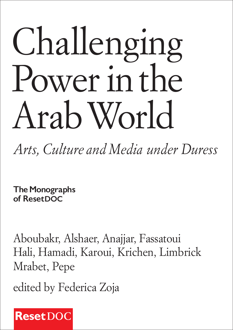# Challenging Power in the Arab World

*Arts, Culture and Media under Duress*

**The Monographs of ResetDOC**

Aboubakr, Alshaer, Anajjar, Fassatoui Hali, Hamadi, Karoui, Krichen, Limbrick Mrabet, Pepe

edited by Federica Zoja

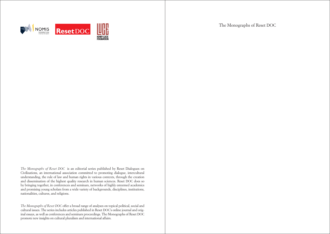

The Monographs of Reset DOC

*The Monographs of Reset DOC* is an editorial series published by Reset Dialogues on Civilizations, an international association committed to promoting dialogue, intercultural understanding, the rule of law and human rights in various contexts, through the creation and dissemination of the highest quality research in human sciences. Reset DOC does so by bringing together, in conferences and seminars, networks of highly esteemed academics and promising young scholars from a wide variety of backgrounds, disciplines, institutions, nationalities, cultures, and religions.

*The Monographs of Reset DOC* offer a broad range of analyses on topical political, social and cultural issues. The series includes articles published in Reset DOC's online journal and original essays, as well as conferences and seminars proceedings. The Monographs of Reset DOC promote new insights on cultural pluralism and international affairs.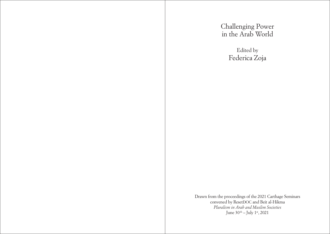Challenging Power in the Arab World

> Edited by Federica Zoja

Drawn from the proceedings of the 2021 Carthage Seminars convened by ResetDOC and Beit al-Hikma *Pluralism in Arab and Muslim Societies* June 30<sup>th</sup> – July 1<sup>st</sup>, 2021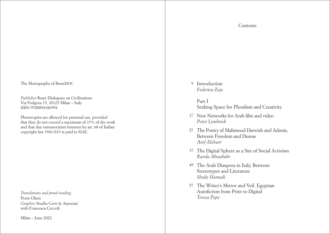The Monographs of ResetDOC

*Publisher* Reset-Dialogues on Civilizations Via Podgora 15, 20123 Milan – Italy ISBN 9788894186994

Photocopies are allowed for personal use, provided that they do not exceed a maximum of 15% of the work and that due remuneration foreseen by art. 68 of Italian copyright law 1941/633 is paid to SIAE.

*Translations and proof-reading*  Prem Olsen *Graphics* Studio Cerri & Associati with Francesca Ceccoli

Milan – June 2022

<sup>[9](#page-4-0)</sup> Introduction *Federica Zoja*

[Part I](#page-7-0)

[Seeking Space for Pluralism and Creativity](#page-7-0) 

- [New Networks for Arab film and video](#page-8-0) 17 *[Peter Limbrick](#page-8-0)*
- [The Poetry of Mahmoud Darwish and Adonis,](#page-13-0)  [2](#page-8-0)7 [Between Freedom and Duress](#page-13-0) *[Atef Alshaer](#page-13-0)*
- [The Digital Sphere as a Site of Social Activism](#page-18-0) 37 *[Randa Aboubakr](#page-18-0)*
- [The Arab Diaspora in Italy, Between](#page-24-0)  [49](#page-18-0) [Stereotypes and Literature](#page-24-0) *[Shady Hamadi](#page-24-0)*
- 57 The Writer's Mirror and Veil. Egyptian [Autofiction from Print to Digital](#page-28-0) *[Teresa Pepe](#page-28-0)*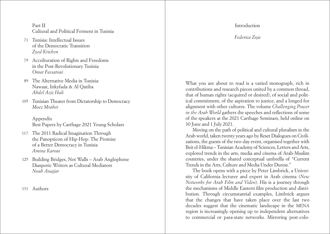# <span id="page-4-0"></span>[Part II](#page-34-0)  [Cultural and Political Ferment in Tunisia](#page-34-0)

- [Tunisia: Intellectual Issues](#page-35-0)  71 [of the Democratic Transition](#page-35-0) *[Zyed Krichen](#page-35-0)*
- [Acculturation of Rights and Freedoms](#page-39-0)  79 [in the Post-Revolutionary Tunisia](#page-39-0) *[Omar Fassatoui](#page-39-0)*
- [The Alternative Media in Tunisia:](#page-44-0)  [Nawaat, Inkyfada & Al Qatiba](#page-44-0)  *[Abdel Aziz Hali](#page-44-0)*  89
- 105 [Tunisian Theater from Dictatorship to Democracy](#page-52-0) *[Moez Mrabet](#page-52-0)*

[Appendix](#page-57-0) [Best Papers by Carthage 2021 Young Scholars](#page-57-0)

- 117 [The 2011 Radical Imagination Through](#page-58-0) [the Panopticon of Hip-Hop: The Promise](#page-58-0)  [of a Better Democracy in Tunisia](#page-58-0) *[Amina Karoui](#page-58-0)*
- 125 Building Bridges, Not Walls Arab Anglophone [Diasporic Writers as Cultural Mediators](#page-62-0) *[Nouh Anajjar](#page-62-0)*

# Introduction

*Federica Zoja*

What you are about to read is a varied monograph, rich in contributions and research pieces united by a common thread, that of human rights (acquired or desired), of social and polit ical commitment, of the aspiration to justice, and a longed-for alignment with other cultures. The volume *Challenging Power in the Arab World* gathers the speeches and reflections of some of the speakers at the 2021 Carthage Seminars, held online on 30 June and 1 July 2021.

Moving on the path of political and cultural pluralism in the Arab world, taken twenty years ago by Reset Dialogues on Civili zations, the guests of the two-day event, organised together with Beit el-Hikma – Tunisian Academy of Sciences, Letters and Arts, explored trends in the arts, media and cinema of Arab-Muslim countries, under the shared conceptual umbrella of "Current Trends in the Arts, Culture and Media Under Duress."

The book opens with a piece by Peter Limbrick, a Univer sity of California lecturer and expert in Arab cinema (*New Networks for Arab Film and Video*). His is a journey through the mechanisms of Middle Eastern film production and distri bution. Through circumstantial examples, Limbrick argues that the changes that have taken place over the last two decades suggest that the cinematic landscape in the MENA region is increasingly opening up to independent alternatives to commercial or para-state networks. Mirroring post-colo -

[Authors](#page-65-0) 131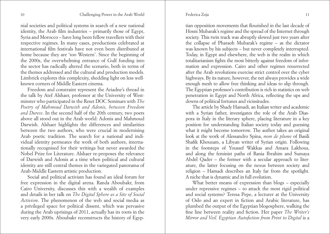#### Federica Zoja

nial societies and political systems in search of a new national identity, the Arab film industries – primarily those of Egypt, Syria and Morocco – have long been fellow travellers with their respective regimes. In many cases, productions celebrated at international film festivals have not even been distributed at home because they are 'too Western'. Since the beginning of the 2000s, the overwhelming entrance of Gulf funding into the sector has radically altered the scenario, both in terms of the themes addressed and the cultural and production models. Limbrick explores this complexity, shedding light on less wellknown corners of Middle Eastern cinema.

Freedom and constraint represent the Ariadne's thread in the talk by Atef Alshaer, professor at the University of Westminster who participated in the Reset DOC Seminars with *The Poetry of Mahmoud Darwish and Adonis, between Freedom and Duress*. In the second half of the 20th century, two poets above all stood out in the Arab world: Adonis and Mahmoud Darwish. Alshaer highlights the differences and similarities between the two authors, who were crucial in modernising Arab poetic tradition. The search for a national and individual identity permeates the work of both authors, internationally recognised for their writings but never awarded the Nobel Prize for Literature. Alshaer re-proposes the relevance of Darwish and Adonis at a time when political and cultural identity are still central themes in the variegated panorama of Arab-Middle Eastern artistic production.

Social and political activism has found an ideal forum for free expression in the digital arena. Randa Aboubakr, from Cairo University, discusses this with a wealth of examples and details in her talk on *The Digital Sphere as a Site of Social Activism*. The phenomenon of the web and social media as a privileged space for political dissent, which was pervasive during the Arab uprisings of 2011, actually has its roots in the very early 2000s. Aboubakr reconstructs the history of Egyp-

tian opposition movements that flourished in the last decade of Hosni Mubarak's regime and the spread of the Internet through society. This twin track was abruptly slowed just two years after the collapse of Pharaoh Mubarak's regime – as the dictator was known by his subjects – but never completely interrupted. Today, in Egypt and elsewhere, the web is the realm in which totalitarianism fights the most bitterly against freedom of information and expression. Cairo and other regimes resurrected after the Arab revolutions exercise strict control over the cyber highways. By its nature, however, the net always provides a wide enough mesh to allow free thinking and ideas to slip through. The Egyptian professor's contribution is rich in statistics on web penetration in Egypt and North Africa, reflecting the ups and downs of political fortunes and vicissitudes.

The article by Shady Hamadi, an Italian writer and academic with a Syrian father, investigates the role of the Arab Diaspora in Italy in the literary sphere, placing literature in a key position for understanding Italian society today and guessing what it might become tomorrow. The author takes an original look at the work of Alessandro Spina, *nom de plume* of Basili Shafik Khouzam, a Libyan writer of Syrian origin. Following in the footsteps of Youssef Wakkas and Amara Lakhous, and along the feminist paths of Rania Ibrahim and Sumaya Abdel Qader – the former with a secular approach to literature, the latter focusing on the nexus between society and religion – Hamadi describes an Italy far from the spotlight. A niche that is dynamic and in full evolution.

What better means of expression than blogs – especially under repressive regimes – to attack the most rigid political and social systems? Teresa Pepe, a lecturer at the University of Oslo and an expert in fiction and Arabic literature, has plumbed the output of the Egyptian blogosphere, walking the fine line between reality and fiction. Her paper *The Writer's Mirror and Veil. Egyptian Autofiction from Print to Digital* is a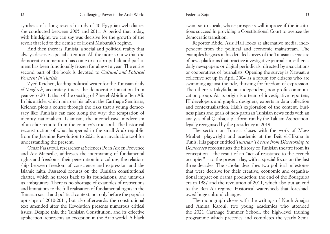synthesis of a long research study of 40 Egyptian web diaries she conducted between 2005 and 2011. A period that today, with hindsight, we can say was decisive for the growth of the revolt that led to the demise of Hosni Mubarak's regime.

And then there is Tunisia, a social and political reality that always deserves special attention. All the more so now that the democratic momentum has come to an abrupt halt and parliament has been functionally frozen for almost a year. The entire second part of the book is devoted to *Cultural and Political Ferment in Tunisia*.

Zyed Krichen, leading political writer for the Tunisian daily *al-Maghreb*, accurately traces the democratic transition from year-zero 2011, that of the ousting of Zine el-Abidine Ben Ali. In his article, which mirrors his talk at the Carthage Seminars, Krichen plots a course through the risks that a young democracy like Tunisia's can face along the way: the temptation of identity nationalism, Islamism, the inconclusive modernism of an elite remote from the country's true soul. The historical reconstruction of what happened in the small Arab republic from the Jasmine Revolution to 2021 is an invaluable tool for understanding the present.

Omar Fassatoui, researcher at Sciences Po in Aix en Provence and Aix Marseille, addresses the intertwining of fundamental rights and freedoms, their penetration into culture, the relationship between freedom of conscience and expression and the Islamic faith. Fassatoui focuses on the Tunisian constitutional charter, which he traces back to its foundations, and unravels its ambiguities. There is no shortage of examples of restrictions and limitations to the full realisation of fundamental rights in the Tunisian social and political context, not only before the popular uprisings of 2010-2011, but also afterwards: the constitutional text amended after the Revolution presents numerous critical issues. Despite this, the Tunisian Constitution, and its effective application, represents an exception in the Arab world. A black

swan, so to speak, whose prospects will improve if the institutions succeed in providing a Constitutional Court to oversee the democratic transition.

Reporter Abdel Aziz Hali looks at alternative media, independent from the political and economic mainstream. The examples he gives in his detailed survey of the Tunisian scene are of news platforms that practice investigative journalism, either as daily newspapers or digital periodicals, directed by associations or cooperatives of journalists. Opening the survey is Nawaat, a collective set up in April 2004 as a forum for citizens who are swimming against the tide, thirsting for freedom of expression. Then there is Inkyfada, an independent, non-profit communication group. At its origin is a team of investigative reporters, IT developers and graphic designers, experts in data collection and contextualisation. Hali's exploration of the content, business plans and goals of non-partisan Tunisian news ends with an analysis of al-Qatiba, a platform run by the Taklam Association, legally recognised by the presidency in 2019.

The section on Tunisia closes with the work of Moez Mrabet, playwright and academic at the Beit el-Hikma in Tunis. His paper entitled *Tunisian Theatre from Dictatorship to Democracy* reconstructs the history of Tunisian theatre from its conception – the result of an "act of resistance to the French occupier" – to the present day, with a special focus on the last three decades. The scholar describes two political milestones that were decisive for their creative, economic and organisational impact on drama production: the end of the Bourguiba era in 1987 and the revolution of 2011, which also put an end to the Ben Ali regime. Historical watersheds that foreshadowed huge cultural changes.

The monograph closes with the writings of Nouh Anajjar and Amina Karoui, two young academics who attended the 2021 Carthage Summer School, the high-level training programme which precedes and completes the yearly Semi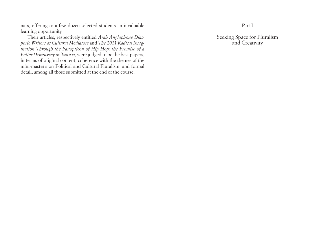<span id="page-7-0"></span>nars, offering to a few dozen selected students an invaluable learning opportunity.

Their articles, respectively entitled *Arab Anglophone Dias poric Writers as Cultural Mediators* and *The 2011 Radical Imag ination Through the Panopticon of Hip Hop: the Promise of a Better Democracy in Tunisia*, were judged to be the best papers, in terms of original content, coherence with the themes of the mini-master's on Political and Cultural Pluralism, and formal detail, among all those submitted at the end of the course.

Part I

Seeking Space for Pluralism and Creativity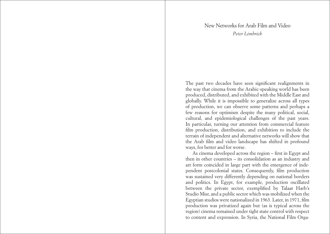# New Networks for Arab Film and Video *Peter Limbrick*

<span id="page-8-0"></span>The past two decades have seen significant realignments in the way that cinema from the Arabic-speaking world has been produced, distributed, and exhibited with the Middle East and globally. While it is impossible to generalize across all types of production, we can observe some patterns and perhaps a few reasons for optimism despite the many political, social, cultural, and epidemiological challenges of the past years. In particular, turning our attention from commercial feature film production, distribution, and exhibition to include the terrain of independent and alternative networks will show that the Arab film and video landscape has shifted in profound ways, for better and for worse.

As cinema developed across the region – first in Egypt and then in other countries – its consolidation as an industry and art form coincided in large part with the emergence of independent postcolonial states. Consequently, film production was sustained very differently depending on national borders and politics. In Egypt, for example, production oscillated between the private sector, exemplified by Talaat Harb's Studio Misr, and a public sector which was mobilized when the Egyptian studios were nationalized in 1963. Later, in 1971, film production was privatized again but (as is typical across the region) cinema remained under tight state control with respect to content and expression. In Syria, the National Film Orga-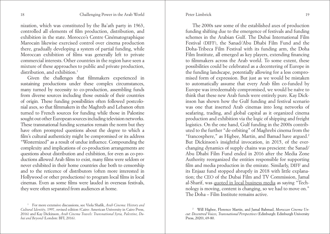nization, which was constituted by the Ba'ath party in 1963, controlled all elements of film production, distribution, and exhibition in the state. Morocco's Centre Cinématographique Marocain likewise exercised control over cinema production there, gradually developing a system of partial funding, while Moroccan exhibition of films was generally left to private commercial interests. Other countries in the region have seen a mixture of these approaches to public and private production, distribution, and exhibition.<sup>1</sup>

Given the challenges that filmmakers experienced in sustaining productions under these complex circumstances, many turned by necessity to co-production, assembling funds from diverse sources including those outside of their countries of origin. These funding possibilities often followed postcolonial axes, so that filmmakers in the Maghreb and Lebanon often turned to French sources for funding while those in Palestine sought out other European sources including television networks. These transnational funding scenarios remain the norm but they have often prompted questions about the degree to which a film's cultural authenticity might be compromised or its address "Westernized" as a result of undue influence. Compounding the complexity and implications of co-production arrangements are questions about distribution and exhibition, for even as co-productions allowed Arab films to exist, many films were seldom or never exhibited in their home countries due both to censorship and to the reticence of distributors (often more interested in Hollywood or other productions) to program local films in local cinemas. Even as some films were lauded in overseas festivals, they were often separated from audiences at home.

The 2000s saw some of the established axes of production funding shifting due to the emergence of festivals and funding schemes in the Arabian Gulf. The Dubai International Film Festival (DIFF), the Sanad/Abu Dhabi Film Fund and the Doha-Tribeca Film Festival with its funding arm, the Doha Film Institute, all emerged as key players, extending financing to filmmakers across the Arab world. To some extent, these possibilities could be celebrated as a decentering of Europe in the funding landscape, potentially allowing for a less compromised form of expression. But just as we would be mistaken to automatically assume that every Arab film co-funded by Europe was irredeemably compromised, we would be naïve to think that these new Arab funds were entirely pure. Kay Dickinson has shown how the Gulf funding and festival scenario was one that inserted Arab cinemas into long networks of seafaring, trading, and global capital as it organized cinema production and exhibition via the logic of shipping and freight logistics. On the one hand, Gulf funding in the 2000s contributed to the further "de-orbiting" of Maghrebi cinema from the "francosphere," as Higbee, Martin, and Bamad have argued.2 But Dickinson's insightful invocation, in 2015, of the everchanging dynamics of supply chains was prescient: the Sanad/ Abu Dhabi Film Fund ended in 2016 after the Media Zone Authority reorganized the entities responsible for supporting film and media production in the emirate. Similarly, DIFF and its Enjaaz fund stopped abruptly in 2018 with little explanation; the CEO of the Dubai Film and TV Commission, Jamal al-Sharif, was [quoted in local business media](https://www.arabianbusiness.com/media/431342-ondxb-to-focus-on-regional-talent-emerging-content-as-dubai-moves-on-from-diff) as saying "Technology is moving, content is changing, so we had to move on." The Doha – Film Institute remains active.

<sup>1</sup> For more extensive discussions, see Viola Shafik, *Arab Cinema: History and Cultural Identity*, 1997, revised edition (Cairo: American University in Cairo Press, 2016) and Kay Dickinson, *Arab Cinema Travels: Transnational Syria, Palestine, Dubai and Beyond* (London: BFI, 2016).

<sup>2</sup> Will Higbee, Florence Martin, and Jamal Bahmad, *Moroccan Cinema Uncut: Decentred Voices, Transnational Perspectives* (Edinburgh: Edinburgh University Press, 2020), 69-80.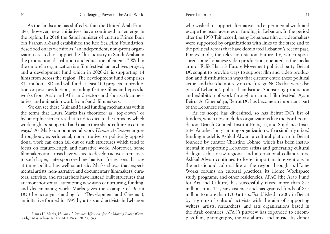As the landscape has shifted within the United Arab Emirates, however, new initiatives have continued to emerge in the region. In 2018 the Saudi minister of culture Prince Badr bin Farhan al-Saud established the Red Sea Film Foundation, [described on its website](https://rsff.halayalla.rocks/en/about-us/) as "an independent, non-profit organization created to support the film industry in Saudi Arabia in the production, distribution and education of cinema." Within the umbrella organization is a film festival, an archives project, and a development fund which in 2020-21 is supporting 14 films from across the region. The development fund comprises \$14 million USD and will fund at least 100 projects in production or post-production, including feature films and episodic works from Arab and African directors and shorts, documentaries, and animation work from Saudi filmmakers.

We can see these Gulf and Saudi funding mechanisms within the terms that Laura Marks has theorized: as "top-down" or hylomorphic structures that tend to dictate the terms by which work might be supported and that in turn shape culture in certain ways.3 As Marks's monumental work *Hanan al-Cinema* argues throughout, experimental, non-narrative, or politically oppositional work can often fall out of such structures which tend to focus on feature-length and narrative work. Moreover, some filmmakers and artists have wished to develop active alternatives to such larger, state-sponsored mechanisms for reasons that are at times political as well as artistic. Marks shows that experimental artists, non-narrative and documentary filmmakers, curators, activists, and researchers have instead built structures that are more horizontal, attempting new ways of nurturing, funding, and disseminating work. Marks gives the example of Beirut DC (the acronym standing for "Development and Cinema"), an initiative formed in 1999 by artists and activists in Lebanon

who wished to support alternative and experimental work and escape the usual avenues of funding in Lebanon. In the period after the 1990 Taif accord, many Lebanese film or videomakers were supported by organizations with links to the state and to the political actors that have dominated Lebanon's recent past. For example, the television station Future TV, which sponsored some Lebanese video production, operated as the media arm of Rafik Hariri's Future Movement political party. Beirut DC sought to provide ways to support film and video production and distribution in ways that circumvented these political actors and that did not rely on the foreign NGOs that were also part of Lebanon's political landscape. Sponsoring production and exhibition of work through an annual film festival, Ayam Beirut Al Cinema'iya, Beirut DC has become an important part of the Lebanese scene.

As its scope has diversified, so has Beirut DC's list of funders, which now includes organizations like the Ford Foundation, British Council, Institut Français, and Sundance Institute. Another long-running organization with a similarly mixed funding model is Ashkal Alwan, a cultural platform in Beirut founded by curator Christine Tohme, which has been instrumental in supporting Lebanese artists and generating cultural dialogues that draw regional and international collaborators. Ashkal Alwan continues to foster important interventions in the artistic and cultural life of the region through its Home Works forums on cultural practices, its Home Workspace study programs, and other residencies. AFAC (the Arab Fund for Art and Culture) has successfully raised more than \$47 million in its 14-year existence and has granted funds of \$37 million to more than 1700 artists. Established in 2007 in Beirut by a group of cultural activists with the aim of supporting writers, artists, researchers, and arts organizations based in the Arab countries, AFAC's purview has expanded to encompass film, photography, the visual arts, and music. Its donor

<sup>3</sup> Laura U. Marks, *Hanan Al-Cinema: Affections for the Moving Image* (Cambridge, Massachusetts: The MIT Press, 2015), 25-31.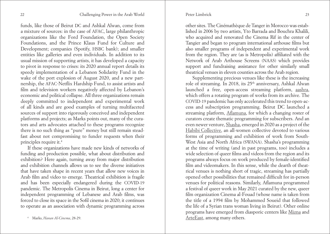funds, like those of Beirut DC and Ashkal Alwan, come from a mixture of sources: in the case of AFAC, large philanthropic organizations like the Ford Foundation, the Open Society Foundations, and the Prince Klaus Fund for Culture and Development; companies (Spotify, HSBC bank); and smaller entities like galleries and even individuals. In addition to its usual mission of supporting artists, it has developed a capacity to pivot in response to crises: its 2020 annual report details its speedy implementation of a Lebanon Solidarity Fund in the wake of the port explosion of August 2020, and a new partnership, the AFAC-Netflix Hardship Fund, to assist artists and film and television workers negatively affected by Lebanon's economic and political collapse. All three organizations remain deeply committed to independent and experimental work of all kinds and are good examples of turning multifaceted sources of support into rigorously conceived and independent platforms and projects; as Marks points out, many of the curators and arts advocates attached to these programs recognize there is no such thing as "pure" money but still remain steadfast about not compromising to funder requests when their principles require it.4

If these organizations have made new kinds of networks of funding and production possible, what about distribution and exhibition? Here again, turning away from major distribution and exhibition channels allows us to see the diverse initiatives that have taken shape in recent years that allow new voices in Arab film and video to emerge. Theatrical exhibition is fragile and has been especially endangered during the COVID-19 pandemic. The Metropolis Cinema in Beirut, long a center for independent programming of Lebanese and Arab films, was forced to close its space in the Sofil cinema in 2020; it continues to operate as an association with dynamic programming across

other sites. The Cinémathèque de Tanger in Morocco was established in 2006 by two artists, Yto Barrada and Bouchra Khalili, who acquired and renovated the Cinema Rif in the center of Tangier and began to program international arthouse films but also smaller programs of independent and experimental work from the region. They are (as is Metropolis) affiliated with the Network of Arab Arthouse Screens (NAAS) which provides support and fundraising assistance for other similarly small theatrical venues in eleven counties across the Arab region.

Supplementing precious venues like these is the increasing role of streaming. In 2018, its 25<sup>th</sup> anniversary, Ashkal Alwan launched a free, open-access streaming platform, [aashra](https://aashra.ashkalalwan.org/), which offers a rotating program of works from its archive. The COVID-19 pandemic has only accelerated this trend to open-access and subscription programming. Beirut DC launched a streaming platform, [Aflamuna,](https://www.aflamuna.online/en/) for which a changing roster of curators create thematic programming for subscribers. And an even newer venture, [Shasha](https://shashamovies.com/), emerged in 2020 as a project of the [Habibi Collective,](https://www.habibicollective.com/) an all-women collective devoted to various forms of programming and exhibition of work from South-West Asia and North Africa (SWANA). Shasha's programming at the time of writing (and in past programs, too) includes a wide selection of queer films and videos from the region and its programs always focus on work produced by female-identified film and videomakers. In this sense, while the dearth of theatrical venues is nothing short of tragic, streaming has partially opened other possibilities that remained difficult for in-person venues for political reasons. Similarly, Aflamuna programmed a festival of queer work in May 2021 curated by the new, queer film organization Cinema al-Fouad (whose name is taken from the title of a 1994 film by Mohammed Soueid that followed the life of a Syrian trans woman living in Beirut). Other online programs have emerged from diasporic centers like [Mizna](https://mizna.org/) and [ArteEast,](https://arteeast.org/programs/arab-film-series-online/) among many others.

<sup>4</sup> Marks, *Hanan Al-Cinema*, 28-29.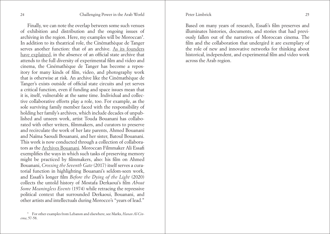Finally, we can note the overlap between some such venues of exhibition and distribution and the ongoing issues of archiving in the region. Here, my examples will be Moroccan<sup>5</sup>. In addition to its theatrical role, the Cinémathèque de Tanger serves another function: that of an archive. [As its founders](https://walkerart.org/magazine/yto-barrada-cinematheque-tangier)  [have explained](https://walkerart.org/magazine/yto-barrada-cinematheque-tangier), in the absence of an official state archive that attends to the full diversity of experimental film and video and cinema, the Cinémathèque de Tanger has become a repository for many kinds of film, video, and photography work that is otherwise at risk. An archive like the Cinémathèque de Tanger's exists outside of official state circuits and yet serves a critical function, even if funding and space issues mean that it is, itself, vulnerable at the same time. Individual and collective collaborative efforts play a role, too. For example, as the sole surviving family member faced with the responsibility of holding her family's archives, which include decades of unpublished and unseen work, artist Touda Bouanani has collaborated with other writers, filmmakers, and curators to preserve and recirculate the work of her late parents, Ahmed Bouanani and Naïma Saoudi Bouanani, and her sister, Batoul Bouanani. This work is now conducted through a collection of collaborators as the [Archives Bouanani](https://archivesbouanani.wordpress.com/). Moroccan Filmmaker Ali Essafi exemplifies the ways in which such tasks of preserving memory might be practiced by filmmakers, also: his film on Ahmed Bouanani, *Crossing the Seventh Gate* (2017) itself serves a curatorial function in highlighting Bouanani's seldom-seen work, and Essafi's longer film *Before the Dying of the Light* (2020) collects the untold history of Mostafa Derkaoui's film *About Some Meaningless Events* (1974) while retracing the repressive political context that surrounded Derkaoui, Bouanani, and other artists and intellectuals during Morocco's "years of lead."

Based on many years of research, Essafi's film preserves and illuminates histories, documents, and stories that had previously fallen out of the narratives of Moroccan cinema. The film and the collaboration that undergird it are exemplary of the role of new and innovative networks for thinking about historical, independent, and experimental film and video work across the Arab region.

<sup>5</sup> For other examples from Lebanon and elsewhere, see Marks, *Hanan Al-Cinema*, 57-58.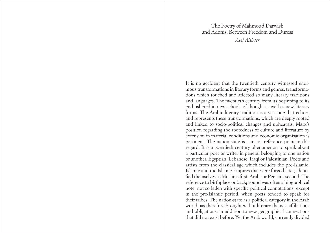# The Poetry of Mahmoud Darwish and Adonis, Between Freedom and Duress *Atef Alshaer*

<span id="page-13-0"></span>It is no accident that the twentieth century witnessed enormous transformations in literary forms and genres, transformations which touched and affected so many literary traditions and languages. The twentieth century from its beginning to its end ushered in new schools of thought as well as new literary forms. The Arabic literary tradition is a vast one that echoes and represents these transformations, which are deeply rooted and linked to socio-political changes and upheavals. Marx's position regarding the rootedness of culture and literature by extension in material conditions and economic organisation is pertinent. The nation-state is a major reference point in this regard. It is a twentieth century phenomenon to speak about a particular poet or writer in general belonging to one nation or another, Egyptian, Lebanese, Iraqi or Palestinian. Poets and artists from the classical age which includes the pre-Islamic, Islamic and the Islamic Empires that were forged later, identified themselves as Muslims first, Arabs or Persians second. The reference to birthplace or background was often a biographical note, not so laden with specific political connotations, except in the pre-Islamic period, when poets tended to speak for their tribes. The nation-state as a political category in the Arab world has therefore brought with it literary themes, affiliations and obligations, in addition to new geographical connections that did not exist before. Yet the Arab world, currently divided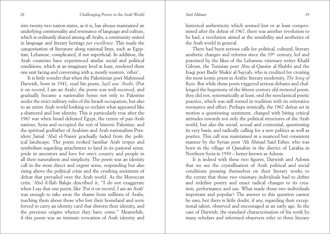#### Atef Alshaer

into twenty-two nation-states, as it is, has always maintained an underlying commonality and resonance of language and culture, which is ordinarily shared among all Arabs, a community united in language and literary heritage *par excellence*. This made the categorisation of literature along national lines, such as Egyptian, Lebanese, complicated, if not superficial. In addition, the Arab countries have experienced similar social and political conditions, which at an imaginary level at least, rendered them one unit facing and conversing with a, mostly western, 'other'.

It is little wonder that when the Palestinian poet Mahmoud Darwish, born in 1941, read his poem, *Sajil ana 'Arabi*, (Put it on record, I am an Arab), the poem was well-received, and gradually became a nationalist hymn not only to Palestine under the strict military rules of the Israeli occupation, but also to an entire Arab world looking to reclaim what appeared like a shattered and lost identity. This is particularly true after the 1967 war when Israel defeated Egypt, the centre of pan-Arab nations, Syria and occupied the rest of historic Palestine; and the spiritual godfather of Arabism and Arab nationalism President Jamal 'Abd el-Nassir gradually faded from the political landscape. The poem evoked familiar Arab tropes and symbolism regarding attachment to land in its pastoral sense, pride in ancestors and love for one's country and people in all their naturalness and simplicity. The poem was an identity call in the most direct and urgent sense, responding but also rising above the political crisis and the crushing sentiment of defeat that prevailed over the Arab world. As the Moroccan critic 'Abd il-Ilah Balqiz described it, "I do not exaggerate when I say that one poem, like 'Put it on record, I am an Arab' was enough to take away the shame from millions of Arabs, teaching them about those who lost their homeland and were forced to carry an identity card that distorts their identity, and the precious origins whence they have come." Meanwhile, if this poem was an intimate evocation of Arab identity and

historical authenticity which seemed lost or at least compromised after the defeat of 1967, there was another revolution to be had, a revolution aimed at the sensibility and aesthetics of the Arab world in general.

There had been serious calls for political, cultural, literary aesthetic changes and reforms since the 19<sup>th</sup> century, led and practised by the likes of the Lebanese visionary writer Khalil Gibran, the Tunisian poet Abu al-Qassim al-Shabbi and the Iraqi poet Badir Shakir al-Sayyab, who is credited for creating the most iconic poem in Arabic literary modernity, *The Song of Rain*. But while those poets triggered serious debates and challenged the hegemony of the fifteen-century old metered poem, they did not, systematically at least, end the neoclassical poetic practice, which was still rooted in tradition with its reiterative resonance and effect. Perhaps ironically, the 1967 defeat set in motion a questioning sentiment, charged with biting critical attitudes towards not only the political structures of the Arab world, but also the social, sexual and existential, questioning its very basis, and radically calling for a new politics as well as poetics. This call was maintained in a nuanced but consistent manner by the Syrian poet 'Ali Ahmad Said Esber, who was born in the village of Qassabin in the district of Latakia in Northern Syria in 1930 – better known as Adonis.

It is indeed with these two figures, Darwish and Adonis that we see the crystallisation of Arab political and social conditions pressing themselves on their literary works to the extent that those two visionary individuals had to define and redefine poetry and enact radical changes to its creation, performance and use. What made those two individuals important and popular? The answer to this question cannot be easy, but there is little doubt, if any, regarding their exceptional talent, observed and encouraged at an early age. In the case of Darwish, the standard characterisation of his work by many scholars and informed observers refer to three literary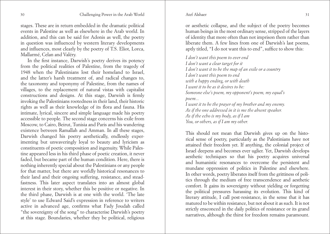#### Atef Alshaer

stages. These are in return embedded in the dramatic political events in Palestine as well as elsewhere in the Arab world. In addition, and this can be said for Adonis as well, the poetry in question was influenced by western literary developments and influences, most clearly by the poetry of T.S. Eliot, Lorca, Mallarmé, Celan and Valéry.

In the first instance, Darwish's poetry derives its potency from the political realities of Palestine, from the tragedy of 1948 when the Palestinians lost their homeland to Israel, and the latter's harsh treatment of, and radical changes to, the taxonomy and toponymy of Palestine, from the names of villages, to the replacement of natural vistas with capitalist constructions and designs. At this stage, Darwish is firmly invoking the Palestinians rootedness in their land, their historic rights as well as their knowledge of its flora and fauna. His intimate, lyrical, sincere and simple language made his poetry accessible to people. The second stage concerns his exile from Moscow, to Cairo, Beirut, Tunisia and Paris and his wandering existence between Ramallah and Amman. In all these stages, Darwish changed his poetry aesthetically, endlessly experimenting but unwaveringly loyal to beauty and lyricism as constituents of poetic composition and ingenuity. While Palestine appeared less in his third phase of poetic creation, it never faded, but became part of the human condition. Here, there is nothing inherently special about the Palestinians or any people for that matter, but there are worldly historical resonances to their land and their ongoing suffering, resistance, and steadfastness. This later aspect translates into an almost global interest in their story, whether this be positive or negative. In the third phase, Darwish is at one with the world. 'The late style' to use Edward Said's expression in reference to writers active in advanced age, confirms what Fady Joudah called "the sovereignty of the song" to characterise Darwish's poetry at this stage. Boundaries, whether they be political, religious

or aesthetic collapse, and the subject of the poetry becomes human beings in the most ordinary sense, stripped of the layers of identity that more often than not imprison them rather than liberate them. A few lines from one of Darwish's last poems, aptly titled, "I do not want this to end", suffice to show this:

*I don't want this poem to ever end I don't want a clear target for it I don't want it to be the map of an exile or a country I don't want this poem to end with a happy ending, or with death I want it to be as it desires to be: Someone else's poem, my opponent's poem, my equal's poem... I want it to be the prayer of my brother and my enemy. As if the one addressed in it is me the absent speaker. As if the echo is my body, as if I am You, or others, as if I am my other.*

This should not mean that Darwish gives up on the historical sense of poetry, particularly as the Palestinians have not attained their freedom yet. If anything, the colonial project of Israel deepens and becomes ever uglier. Yet, Darwish develops aesthetic techniques so that his poetry acquires universal and humanistic resonances to overcome the persistent and mundane oppression of politics in Palestine and elsewhere. In other words, poetry liberates itself from the grittiness of politics through the medium of free transcendence and aesthetic comfort. It gains its sovereignty without yielding or forgetting the political pressures harassing its evolution. This kind of literary attitude, I call post-resistance, in the sense that it has matured to be within resistance, but not about it as such. It is not strictly ensconced in the daily politics of resistance or its grand narratives, although the thirst for freedom remains paramount.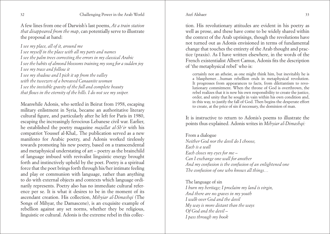Atef Alshaer

A few lines from one of Darwish's last poems, *At a train station that disappeared from the map*, can potentially serve to illustrate the proposal at hand:

*I see my place, all of it, around me I see myself in the place with all my parts and names I see the palm trees correcting the errors in my classical Arabic I see the habits of almond blossoms training my song for a sudden joy I see my trace and follow it I see my shadow and I pick it up from the valley with the tweezers of a bereaved Canaanite woman I see the invisible gravity of the full and complete beauty that flows in the eternity of the hills. I do not see my sniper.*

Meanwhile Adonis, who settled in Beirut from 1958, escaping military enlistment in Syria, became an authoritative literary cultural figure, and particularly after he left for Paris in 1980, escaping the increasingly ferocious Lebanese civil war. Earlier, he established the poetry magazine *majallat al-Sh'ir* with his compatriot Youssef al-Khal,. The publication served as a new manifesto for Arabic poetry, and Adonis worked tirelessly towards promoting his new poetry, based on a transcendental and metaphysical understating of art – poetry as the brainchild of language imbued with revivalist linguistic energy brought forth and instinctively upheld by the poet. Poetry is a spiritual force that the poet brings forth through his/her intimate feeling and play or communion with language, rather than anything to do with external objects and contexts which language ordinarily represents. Poetry also has no immediate cultural reference per se. It is what it desires to be in the moment of its ascendant creation. His collection, *Mihyiar al-Dimashqi* (The Songs of Mihyar, the Damascene), is an exquisite example of rebellion against any set norms, whether they be religious, linguistic or cultural. Adonis is the extreme rebel in this collec-

tion. His revolutionary attitudes are evident in his poetry as well as prose, and these have come to be widely shared within the context of the Arab uprisings, though the revolutions have not turned out as Adonis envisioned in terms of fundamental change that touches the entirety of the Arab thought and practice (praxis). As I have written elsewhere, in the words of the French existentialist Albert Camus, Adonis fits the description of 'the metaphysical rebel' who is:

certainly not an atheist, as one might think him, but inevitably he is a blasphemer…human rebellion ends in metaphysical revolution. It progresses from appearances to facts, from dilettantism to revolutionary commitment. When the throne of God is overthrown, the rebel realizes that it is now his own responsibility to create the justice, order, and unity that he sought in vain within his own condition and, in this way, to justify the fall of God. Then begins the desperate effort to create, at the price of sin if necessary, the dominion of man.

It is instructive to return to Adonis's poems to illustrate the points thus explained. Adonis writes in *Mihyiar al-Dimashqi:*

From a dialogue *Neither God nor the devil do I choose, Each is a wall Each closes my eyes for me – Can I exchange one wall for another And my confusion is the confusion of an enlightened one The confusion of one who knows all things…*

The language of sin *I burn my heritage; I proclaim my land is virgin, And there are no graves in my youth I walk over God and the devil My way is more distant than the ways Of God and the devil – I pass through my book*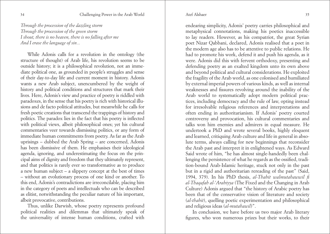#### 34 Challenging Power in the Arab World Atef Alshaer 35

*Through the procession of the dazzling storm Through the procession of the green storm I shout, there is no heaven, there is no falling after me And I erase the language of sin...*

While Adonis calls for a revolution in the ontology (the structure of thought) of Arab life, his revolution seems to be outside history; it is a philosophical revolution, not an immediate political one, as grounded in people's struggles and sense of their day-to-day life and current moment in history. Adonis wants a new Arab subject, unencumbered by the weight of history and political conditions and structures that mark their lives. Here, Adonis's view and practice of poetry is riddled with paradoxes, in the sense that his poetry is rich with historical illusions and de facto political attitudes, but meanwhile he calls for fresh poetic creations that transcend the trappings of history and politics. The paradox lies in the fact that his poetry is inflected with political views, albeit philosophical ones; yet his cultural commentaries veer towards dismissing politics, or any form of immediate human commitments from poetry. As far as the Arab uprisings – dubbed the Arab Spring – are concerned, Adonis has been dismissive of them. He emphasises their ideological agenda, ignoring, and underestimating the focus on the principal aims of dignity and freedom that they ultimately represent, and that politics is rarely ever so transformative as to produce a new human subject – a slippery concept at the best of times – without an evolutionary process of one kind or another. To this end, Adonis's contradictions are irreconcilable, placing him in the category of poets and intellectuals who can be described as elitist, notwithstanding the peculiar nature of his important, albeit provocative, contributions.

Thus, unlike Darwish, whose poetry represents profound political realities and dilemmas that ultimately speak of the universality of intense human conditions, crafted with

#### Atef Alshaer

endearing simplicity, Adonis' poetry carries philosophical and metaphysical connotations, making his poetics inaccessible to lay readers. However, as his compatriot, the great Syrian poet Nizar Qabbani, declared, Adonis realised that a poet in the modern age also has to be attentive to public relations. He had to promote his work, defend it and push his agenda, as it were. Adonis did this with fervent orthodoxy, presenting and defending poetry as an exalted kingdom unto its own above and beyond political and cultural considerations. He exploited the fragility of the Arab world, as one colonised and humiliated by external imperial powers of various kinds, as well as internal weaknesses and fissures revolving around the inability of the Arab world to systematically adopt modern political practices, including democracy and the rule of law, opting instead for irresolvable religious references and interpretations and often ending in authoritarianism. If Adonis' poetry courted controversy and provocation, his cultural commentaries and talks won him enemies and admirers in equal measure. He undertook a PhD and wrote several books, highly eloquent and learned, critiquing Arab culture and life in general in absolute terms, always calling for new beginnings that reconsider the Arab past and interpret it in enlightened ways. As Edward Said wrote of him, "he has almost single-handedly been challenging the persistence of what he regards as the ossified, tradition-bound Arab-Islamic heritage, stuck not only in the past but in a rigid and authoritarian rereading of the past" (Said, 1994, 379). In his PhD thesis, *al-Thabit walmutahawwil fi al-Thaqafah al-'Arabiyya* (The Fixed and the Changing in Arab Culture) Adonis argued that "the history of Arabic poetry has been that of the conservative vision of literature and society (*al-thabit*), quelling poetic experimentation and philosophical and religious ideas (*al-mutahawil*)".

In conclusion, we have before us two major Arab literary figures, who won numerous prizes but their works, to their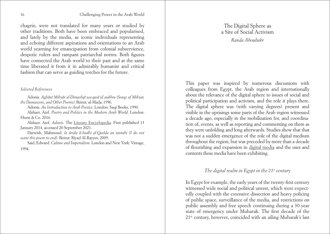<span id="page-18-0"></span>chagrin, were not translated for many years or studied by other traditions. Both have been embraced and popularised, and lately by the media, as iconic individuals representing and echoing different aspirations and orientations to an Arab world yearning for emancipation from colonial subservience, despotic rulers and rampant patriarchal norms. Both figures have connected the Arab world to their past and at the same time liberated it from it in admirably humanist and critical fashion that can serve as guiding torches for the future.

#### *Selected References*

Adonis. *Aghanı Mihyar al-Dimashqı wa-qasa* ʿ*id aukhra (Songs of Mihyar, the Damascene, and Other Poems)*. Beirut: al-Mada, 1996.

Adonis. *An Introduction to Arab Poetics*. London: Saqi Books, 1990.

Alshaer, Atef. *Poetry and Politics in the Modern Arab World*. London: Hurst & Co. 2016.

Alshaer, Atef. *Adonis*. The [Literary Encyclopedia](https://www.litencyc.com/php/speople.php?rec=true&UID=13116). First published 13 January 2014, accessed 20 September 2021.

Darwish, Mahmoud. *la uridu li-hadhi al-Qasıda an tantahi (I do not want this poem to end)*. Beirut: Riyad Al-Rayyes, 2009.

Said, Edward*. Culture and Imperialism*. London and New York: Vintage, 1994.

The Digital Sphere as a Site of Social Activism *Randa Aboubakr*

This paper was inspired by numerous discussions with colleagues from Egypt, the Arab region and internationally about the relevance of the digital sphere to issues of social and political participation and activism, and the role it plays there. The digital sphere was (with varying degrees) present and visible in the uprisings some parts of the Arab region witnessed a decade ago, especially in the mobilization for, and coordination of, events, as well as reporting and commenting on them as they were unfolding and long afterwards. Studies show that that was not a sudden emergence of the role of the digital medium throughout the region, but was preceded by more than a decade of flourishing and expansion in [digital media](https://arabsocialmediareport.com/UserManagement/PDF/ASMR Report 1.pdf) and the uses and contents these media have been exhibiting.

### *The digital realm in Egypt in the 21st century*

In Egypt for example, the early years of the twenty-first century witnessed wide social and political unrest, which were expectedly coupled with the extensive dissection and heavy policing of public space, surveillance of the media, and restrictions on public assembly and free speech continuing during a 30-year state of emergency under Mubarak. The first decade of the 21st century, however, coincided with an ailing Mubarak's last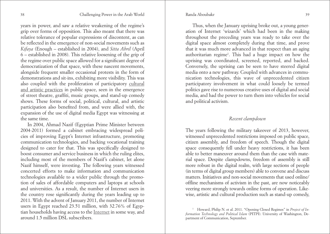years in power, and saw a relative weakening of the regime's grip over forms of opposition. This also meant that there was relative tolerance of popular expressions of discontent, as can be reflected in the emergence of non-social movements such as *Kifaya* (Enough – established in 2004), and *Sitta Abril* (April 6 – established in 2008). This relative loosening of the grip of the regime over public space allowed for a significant degree of democratization of that space, with these nascent movements, alongside frequent smaller occasional protests in the form of demonstrations and sit-ins, exhibiting more visibility. This was also coupled with the proliferation of participatory [cultural](https://www.zmo.de/fileadmin/Inhalte/Publikationen/PDFs/3al_Janib_liminal_spaces.pdf)  [and artistic practices](https://www.zmo.de/fileadmin/Inhalte/Publikationen/PDFs/3al_Janib_liminal_spaces.pdf) in public space, seen in the emergence of street theatre, graffiti, music groups, and stand-up comedy shows. These forms of social, political, cultural, and artistic participation also benefited from, and were allied with, the expansion of the use of digital media Egypt was witnessing at the same time.

In 2004, Ahmad Nazif (Egyptian Prime Minister between 2004-2011) formed a cabinet embracing widespread policies of improving Egypt's Internet infrastructure, promoting communication technologies, and backing vocational training designed to cater for that. This was specifically designed to boost consumer and service business in which the ruling elites, including most of the members of Nazif's cabinet, let alone Nazif himself, were investing. The following years witnessed concerted efforts to make information and communication technologies available to a wider public through the promotion of sales of affordable computers and laptops at schools and universities. As a result, the number of Internet users in the country rose significantly during the years leading up to 2011. With the advent of January 2011, the number of Internet users in Egypt reached 23.51 million, with 32.76% of Egyptian households having access to the [Internet](https://arabsocialmediareport.com/UserManagement/PDF/ASMR Report 1.pdf) in some way, and around 1.5 million DSL subscribers.

Thus, when the January uprising broke out, a young generation of Internet 'wizards' which had been in the making throughout the preceding years was ready to take over the digital space almost completely during that time, and prove that it was much more advanced in that respect than an aging authoritarian regime<sup>1</sup>. This had a huge impact on how the uprising was coordinated, screened, reported, and backed. Conversely, the uprising can be seen to have steered digital media onto a new pathway. Coupled with advances in communication technologies, this wave of unprecedented citizen participatory involvement in what could loosely be termed politics gave rise to numerous creative uses of digital and social media, and had the power to turn them into vehicles for social and political activism.

# *Recent clampdown*

The years following the military takeover of 2013, however, witnessed unprecedented restrictions imposed on public space, citizen assembly, and freedom of speech. Though the digital space consequently fell under heavy restrictions, it has been able to better maneuver around them than the case with material space. Despite clampdowns, freedom of assembly is still more robust in the digital realm, with large sections of people (in terms of digital group members) able to convene and discuss matters. Initiatives and non-social movements that used online/ offline mechanisms of activism in the past, are now noticeably veering more strongly towards online forms of operation. Likewise, artistic and cultural production such as stand-up comedy,

<sup>&</sup>lt;sup>1</sup> Howard, Philip N. et al. 2011. "Opening Closed Regimes" in *Project of Information Technology and Political Islam* (PITPI). University of Washington, Department of Communication, September.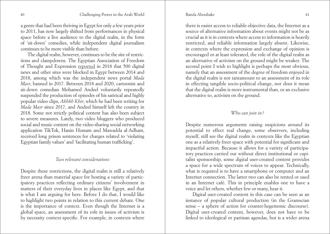a genre that had been thriving in Egypt for only a few years prior to 2011, has now largely shifted from performances in physical space before a live audience to the digital realm, in the form of 'sit-down' comedies, while independent digital journalism continues to be more visible than before.

The digital realm, however, continues to be the site of restrictions and clampdowns. The Egyptian Association of Freedom of Thought and Expression [reported](https://afteegypt.org/en/right_to_know-2/publicationsright_to_know-right_to_know-2/2017/06/04/13069-afteegypt.html) in 2018 that 500 digital news and other sites were blocked in Egypt between 2014 and 2018, among which was the independent news portal *Mada Masr*, banned in 2017. Between 2018 and 2020, cartoonist and sit-down comedian Mohamed Andeel voluntarily repeatedly suspended the production of episodes of his satirical and highly popular video clips, *Akhkh Kbir*, which he had been writing for *Mada Masr* since 2017, and Andeel himself left the country in 2018. Some not strictly political content has also been subject to severe measures. Lately, two video bloggers who produced social and music content on the video-sharing social networking application TikTok, Hanin Hossam and Mawadda al-Adham, received long prison sentences for charges related to 'violating Egyptian family values' and 'facilitating human trafficking'.

# *Two relevant considerations*

Despite these restrictions, the digital realm is still a relatively freer arena than material space for hosting a variety of participatory practices reflecting ordinary citizens' involvement in matters of their everyday lives in places like Egypt, and that is what I am arguing for here. Before I do that, I would like to highlight two points in relation to this current debate. One is the importance of context. Even though the Internet is a global space, an assessment of its role in issues of activism is by necessity context-specific. For example, in contexts where

there is easier access to reliable objective data, the Internet as a source of alternative information about events might not be as crucial as it is in contexts where access to information is heavily restricted, and reliable information largely absent. Likewise, in contexts where the expression and exchange of opinion is encouraged or at least tolerated, the role of the digital realm as an alternative of activism on the ground might be weaker. The second point I wish to highlight is perhaps the most obvious, namely that an assessment of the degree of freedom enjoyed in the digital realm is not tantamount to an assessment of its role in effecting tangible socio-political change, nor does it mean that the digital realm is more instrumental than, or an exclusive alternative to, activism on the ground.

# *Who can join in?*

Despite numerous arguments raising suspicions around its potential to effect real change, some observers, including myself, still see the digital realm in contexts like the Egyptian one as a relatively freer space with potential for significant and impactful action. Because it allows for a variety of participatory practices carried out without direct institutional or capitalist sponsorship, some digital user-created content provides a space for a wide spectrum of voices to appear. Technically, what is required is to have a smartphone or computer and an Internet connection. The latter two can also be rented or used in an Internet café. This in principle enables one to have a voice and let others, whether few or many, hear it.

Digital user-created content in this case can be seen as an instance of popular cultural production (in the Gramscian sense – a sphere of action for counter-hegemonic discourse). Digital user-created content, however, does not have to be linked to ideological or partisan agendas, but is a wider arena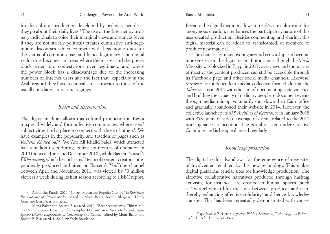for the cultural production developed by ordinary people as they go about their daily lives.<sup>2</sup> The use of the Internet by ordinary individuals to voice their marginal views and stances (even if they are not strictly political) creates cumulative anti-hegemonic discourses which compete with hegemonic ones for the status of commonsense, and hence legitimacy. The digital realm thus becomes an arena where the masses and the power block enter into contestations over legitimacy, and where the power block has a disadvantage due to the increasing numbers of Internet users and the fact that (especially in the Arab region) they have technical skills superior to those of the usually outdated autocratic regimes.

#### *Reach and dissemination*

The digital medium allows this cultural production in Egypt to spread widely and form affective communities where users' subjectivities find a place to connect with those of others<sup>3</sup>. We have examples in the popularity and traction of pages such as *Kollena Khaled Said* (We Are All Khalid Said), which attracted half a million users during its first six months of operation in 2010 (between June and December 2010), while Bassem Yousef's *ElBernameg*, which he and a small team of content creators independently produced and aired on Bassem's YouTube channel between April and November 2011, was viewed by 30 million viewers a week during its first season according to a [BBC report](https://www.bbc.com/culture/article/20180110-bassem-youssef-the-wild-story-of-egypts-jon-stewart?source=post_page---------------------------).

<sup>2</sup> Aboubakr, Randa. 2020. "Citizen Media and Popular Culture" in *Routledge Encyclopedia of Citizen Media*, edited by Mona Baker, Bolette Blaagaard, Henry Jones and Luis Peres-Gonzalez. 3 Mona Baker and Bolette Blaagaard. 2016. "Reconceptualizing Citizen Me-

dia: A Preliminary Charting of a Complex Domain" in *Citizen Media and Public Spaces: Diverse Expressions of Citizenship and Dissent*, edited by Mona Baker and Bolette B. Blaagaard, 1–22. New York: Routledge.

Because the digital medium allows to read/write culture and for anonymous creation, it enhances the participatory nature of this user-created production. Besides commenting and sharing, this digital material can be added to, transformed, or re-mixed to produce new material.

The chances for maneuvering around censorship can become more creative in the digital realm. For instance, though the *Mada Masr* site was blocked in Egypt in 2017, overviews and summaries of most of the content produced can still be accessible through its Facebook page and other social media channels. Likewise, *Mosirrin*, an independent media collective formed during the *Tahrir* sit-ins in 2011 with the aim of documenting state violence and building the capacity of ordinary people to document events through media training, voluntarily shut down their Cairo office and gradually abandoned their website in 2014. However, the collective launched its *858 Archives of Resistance* in January 2018 with 858 hours of video coverage of events related to the 2011 uprising since its inception. The portal is listed under Creative Commons and is being enhanced regularly.

# *Knowledge production*

The digital realm also allows for the emergence of new sites of involvement enabled by this new technology. This makes digital platforms crucial sites for knowledge production. The affective collaborative narratives produced through hashtag activism, for instance, are created in liminal spaces (such as Twitter) which blur the lines between producer and user, thereby enhancing affective solidarity<sup>4</sup> and hence knowledge transfer. This has been repeatedly demonstrated with causes

<sup>4</sup> Papacharissi, Zizi. 2015. *Affective Publics: Sentiment, Technology and Politics*. Oxford: Oxford University Press.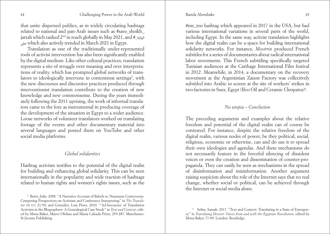that unite dispersed publics, as in widely circulating hashtags related to national and pan-Arab issues such as #save\_sheikh\_ jarrah which ranked 2nd in reach globally in May 2021, and #\_الوالية حقي which also actively trended in March 2021 in Egypt.

Translation as one of the traditionally under-represented tools of activist intervention has also been significantly enabled by the digital medium. Like other cultural practices, translation represents a site of struggle over meaning and over interpretations of reality, which has prompted global networks of translators to ideologically intervene in contentious settings<sup>5</sup>, with the new discourses and discursive practices produced through interventionist translation contribute to the creation of new knowledge and new commonsense. During the years immediately following the 2011 uprising, the work of informal translators came to the fore as instrumental in producing coverage of the development of the situation in Egypt to a wider audience. Loose networks of volunteer translators worked on translating footage of the events and other documentary material into several languages and posted them on YouTube and other social media platforms.

# *Global solidarities*

Hashtag activism testifies to the potential of the digital realm for building and enhancing global solidarity. This can be seen internationally in the popularity and wide traction of hashtags related to human rights and women's rights issues, such as the

#me\_too hashtag which appeared in 2017 in the USA, but had various international variations in several parts of the world, including Egypt. In the same way, activist translation highlights how the digital realm can be a space for building international solidarity networks. For instance, *Mosirrin* produced French subtitles for a series of documentaries about radical international labor movements. This French subtitling specifically targeted Tunisian audiences at the Carthage International Film festival in 2012. Meanwhile, in 2014, a documentary on the recovery movement at the Argentinian Zanon Factory was collectively subtitled into Arabic to screen at the site of workers' strikes in two factories in Suez, Egypt (Ifco Oil and Ceramic Cleopatra)<sup>6</sup>.

# *No utopia – Conclusion*

The preceding arguments and examples about the relative freedom and potential of the digital realm can of course be contested. For instance, despite the relative freedom of the digital realm, various nodes of power, be they political, social, religious, economic or otherwise, can and do use it to spread their own ideologies and agendas. And these mechanisms do not necessarily feature in the forceful silencing of dissident voices or even the creation and dissemination of counter-propaganda. They can easily be seen as mechanisms in the spread of disinformation and misinformation. Another argument raising suspicion about the role of the Internet says that no real change, whether social or political, can be achieved through the Internet or social media alone.

<sup>5</sup> Boéri, Julie. 2008. "A Narrative Account of Babels vs. Naumann Controversy: Competing Perspectives on Activism and Conference Interpreting" in *The Translator* 14 (1): 21-50; and González, Luis Pérez. 2010. "'Ad-hocracies' of Translation Activism in the Blogosphere: A Genealogical Case Study" in *Text and Context*, edited by Mona Baker, Maeve Olohan and María Calzada Pérez, 259-287. Manchester: St Jerome Publishing.

<sup>6</sup> Selim, Samah. 2017. "Text and Context: Translating in a State of Emergency" in *Translating Dissent: Voices from and with the Egyptian Revolution*, edited by Mona Baker, 77-89. London: Routledge.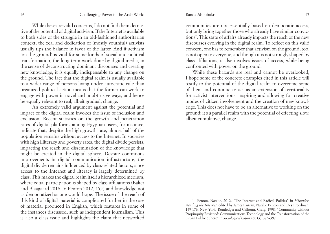While these are valid concerns, I do not find them detractive of the potential of digital activism. If the Internet is available to both sides of the struggle in an old-fashioned authoritarian context, the zeal and dedication of (mostly youthful) activists usually tips the balance in favor of the latter. And if activism 'on the ground' is vital for some kinds of social and political transformation, the long-term work done by digital media, in the sense of deconstructing dominant discourses and creating new knowledge, it is equally indispensable to any change on the ground. The fact that the digital realm is usually available to a wider range of persons living under autocratic rule than organized political action means that the former can work to engage with power in novel and unobtrusive ways, and hence be equally relevant to real, albeit gradual, change.

An extremely valid argument against the potential and impact of the digital realm invokes the issue of inclusion and exclusion. [Recent statistics](https://www.internetworldstats.com/africa.htm#eg) on the growth and penetration rates of digital platforms among Egyptian users, for instance, indicate that, despite the high growth rate, almost half of the population remains without access to the Internet. In societies with high illiteracy and poverty rates, the digital divide persists, impacting the reach and dissemination of the knowledge that might be created in the digital sphere. Despite continuous improvements in digital communication infrastructure, the digital divide remains influenced by class-related factors, since access to the Internet and literacy is largely determined by class. This makes the digital realm itself a hierarchized medium, where equal participation is shaped by class-affiliations (Baker and Blaagaard 2016, 5; Fenton 2012, 155) and knowledge not as democratized as one would hope. The issue of the reach of this kind of digital material is complicated further in the case of material produced in English, which features in some of the instances discussed, such as independent journalism. This is also a class issue and highlights the claim that networked

communities are not essentially based on democratic access, but only bring together those who already have similar convictions7 . This state of affairs already impacts the reach of the new discourses evolving in the digital realm. To reflect on this valid concern, one has to remember that activism on the ground, too, is not open to everyone, and though it is not strongly shaped by class affiliations, it also involves issues of access, while being confronted with power on the ground.

While these hazards are real and cannot be overlooked, I hope some of the concrete examples cited in this article will testify to the potential of the digital realm to overcome some of them and continue to act as an extension of territoriality for activist interventions, inspiring and allowing for creative modes of citizen involvement and the creation of new knowledge. This does not have to be an alternative to working on the ground; it's a parallel realm with the potential of effecting slow, albeit cumulative, change.

<sup>7</sup> Fenton, Natalie. 2012. "The Internet and Radical Politics" in *Misunderstanding the Internet*, edited by James Curran, Natalie Fenton and Des Freedman, 149-176. New York: Routledge; and Calhoun, Craig. 1998. "Community without Propinquity Revisited: Communications Technology and the Transformation of the Urban Public Sphere" in *Sociological Inquiry* 68 (3): 373–397.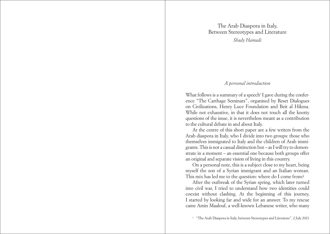The Arab Diaspora in Italy, Between Stereotypes and Literature *Shady Hamadi* 

# *A personal introduction*

<span id="page-24-0"></span>What follows is a summary of a speech<sup>1</sup> I gave during the conference "The Carthage Seminars", organised by Reset Dialogues on Civilizations, Henry Luce Foundation and Beit al Hikma. While not exhaustive, in that it does not touch all the knotty questions of the issue, it is nevertheless meant as a contribution to the cultural debate in and about Italy.

At the centre of this short paper are a few writers from the Arab diaspora in Italy, who I divide into two groups: those who themselves immigrated to Italy and the children of Arab immigrants. This is not a casual distinction but – as I will try to demonstrate in a moment – an essential one because both groups offer an original and separate vision of living in this country.

On a personal note, this is a subject close to my heart, being myself the son of a Syrian immigrant and an Italian woman. This mix has led me to the question: where do I come from?

After the outbreak of the Syrian spring, which later turned into civil war, I tried to understand how two identities could coexist without clashing. At the beginning of this journey, I started by looking far and wide for an answer. To my rescue came Amin Maalouf, a well-known Lebanese writer, who many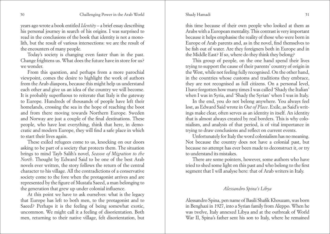#### Shady Hamadi

years ago wrote a book entitled *Identity* – a brief essay describing his personal journey in search of his origins. I was surprised to read in the conclusions of the book that identity is not a monolith, but the result of various intersections: we are the result of the encounters of many people.

Today's society is changing even faster than in the past. Change frightens us. What does the future have in store for us? we wonder.

From this question, and perhaps from a more parochial viewpoint, comes the desire to highlight the work of authors from the Arab diaspora, because this might help us understand each other and give us an idea of the country we will become. It is probably superfluous to reiterate that Italy is the gateway to Europe. Hundreds of thousands of people have left their homelands, crossing the sea in the hope of reaching the boot and from there moving towards Northern Europe. Sweden and Norway are just a couple of the final destinations. These people, who have lost everything, think that here, in democratic and modern Europe, they will find a safe place in which to start their lives again.

These exiled refugees come to us, knocking on our doors asking to be part of a society that protects them. The situation brings to mind Tayb Salih's novel, *Season of Migration to the North*. Thought by Edward Said to be one of the best Arab novels ever written, the story follows the return of the central character to his village. All the contradictions of a conservative society come to the fore when the protagonist arrives and are represented by the figure of Mustafa Saeed, a man belonging to the generation that grew up under colonial influence.

At this point we have to ask ourselves: what is the legacy that Europe has left to both men, to the protagonist and to Saeed? Perhaps it is the feeling of being somewhat exotic, uncommon. We might call it a feeling of disorientation. Both men, returning to their native village, felt disorientation, but

this time because of their own people who looked at them as Arabs with a European mentality. This contrast is very important because it helps emphasise the reality of those who were born in Europe of Arab parents and, as in the novel, find themselves to be fish out of water. Are they foreigners both in Europe and in the Middle East? If so, where do they think they belong?

This group of people, on the one hand spend their lives trying to support the cause of their parents' country of origin in the West, while not feeling fully recognised. On the other hand, in the countries whose customs and traditions they embrace, they are not recognised as full citizens. On a personal level, I have forgotten how many times I was called 'Shady the Italian' when I was in Syria, and 'Shady the Syrian' when I was in Italy.

In the end, you do not belong anywhere. You always feel lost, as Edward Said wrote in *Out of Place*. Exile, as Said's writings make clear, often serves as an identity in itself. An identity that is almost always created by real borders. This is why colonialism, and analysis of that period, is of vital importance in trying to draw conclusions and reflect on current events.

Unfortunately for Italy the word colonialism has no meaning. Not because the country does not have a colonial past, but because no attempt has ever been made to deconstruct it, or try to understand its mistakes.

There are some pointers, however, some authors who have tried to shed some light on this past and who belong to the first segment that I will analyse here: that of Arab writers in Italy.

### *Alessandro Spina's Libya*

Alessandro Spina, pen name of Basili Shafik Khouzam, was born in Benghazi in 1927, into a Syrian family from Aleppo. When he was twelve, Italy annexed Libya and at the outbreak of World War II, Spina's father sent his son to Italy, where he remained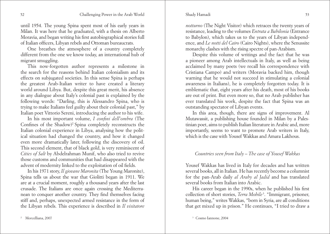#### Shady Hamadi

until 1954. The young Spina spent most of his early years in Milan. It was here that he graduated, with a thesis on Alberto Moravia, and began writing his first autobiographical stories full of Italian officers, Libyan rebels and Ottoman bureaucrats.

One breathes the atmosphere of a country completely different from the one we know today, an international hub of migrant smuggling.

This now-forgotten author represents a milestone in the search for the reasons behind Italian colonialism and its effects on subjugated societies. In this sense Spina is perhaps the greatest Arab-Italian writer to have created a literary world around Libya. But, despite this great merit, his absence in any dialogue about Italy's colonial past is explained by the following words: "Darling, this is Alessandro Spina, who is trying to make Italians feel guilty about their colonial past," by Italian poet Vittorio Sereni, introducing the author to his wife.

In his most important volume, *I confini dell'ombra* (The Confines of the Shadow)<sup>2</sup> Spina completely reconstructs the Italian colonial experience in Libya, analysing how the political situation had changed the country, and how it changed even more dramatically later, following the discovery of oil. This second element, that of black gold, is very reminiscent of *Cities of Salt* by Abdelrahman Munif, who also tried to revive those customs and communities that had disappeared with the advent of modernity linked to the exploitation of oil fields.

In his 1971 story, *Il giovane Maronita* (The Young Maronite), Spina tells us about the war that Giolitti began in 1911. We are at a crucial moment, roughly a thousand years after the last crusade. The Italians are once again crossing the Mediterranean to conquer another country. They find themselves facing stiff and, perhaps, unexpected armed resistance in the form of the Libyan rebels. This experience is described in *Il visitatore* 

*notturno* (The Night Visitor) which retraces the twenty years of resistance, leading to the volumes *Entrata a Babilonia* (Entrance to Babylon), which takes us to the years of Libyan independence, and *Le notti del Cairo* (Cairo Nights), where the Senussite monarchy clashes with the rising spectre of pan-Arabism.

Despite this volume of writings and the fact that he was a pioneer among Arab intellectuals in Italy, as well as being acclaimed by many poets (we recall his correspondence with Cristiana Campo) and writers (Moravia backed him, though warning that he would not succeed in stimulating a colonial awareness in Italians), he is completely forgotten today. It is emblematic that, eight years after his death, most of his books are out of print. But even more so, that no Arab publisher has ever translated his work, despite the fact that Spina was an outstanding spectator of Libyan events.

In this area, though, there are signs of improvement. Al Mutawassit, a publishing house founded in Milan by a Palestinian poet, aims to publish Italian literature in Arabic and, more importantly, seems to want to promote Arab writers in Italy, which is the case with Yousef Wakkas and Amara Lakhous.

# *Countries seen from Italy – The case of Yousef Wakkas*

Yousef Wakkas has lived in Italy for decades and has written several books, all in Italian. He has recently become a columnist for the pan-Arab daily *al Araby al Jadid* and has translated several books from Italian into Arabic.

His career began in the 1990s, when he published his first collection of short stories, *Terra Mobile*<sup>3</sup>. "Immigrant, prisoner, human being," writes Wakkas, "born in Syria, are all conditions that get mixed up in prison." He continues, "I tried to draw a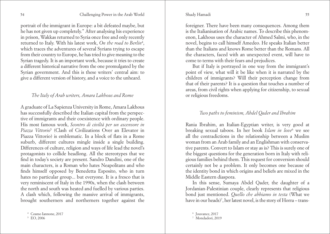#### Shady Hamadi

portrait of the immigrant in Europe: a bit defeated maybe, but he has not given up completely." After analysing his experience in prison, Wakkas returned to Syria once free and only recently returned to Italy. With his latest work, *On the road to Berlin*<sup>4</sup> , which traces the adventures of several Syrians trying to escape from their country to Europe, he has tried to give meaning to the Syrian tragedy. It is an important work, because it tries to create a different historical narrative from the one promulgated by the Syrian government. And this is these writers' central aim: to give a different version of history, and a voice to the unheard.

# *The Italy of Arab writers, Amara Lakhous and Rome*

A graduate of La Sapienza University in Rome, Amara Lakhous has successfully described the Italian capital from the perspective of immigrants and their coexistence with ordinary people. His most famous work, *Scontro di civiltà per un ascensore in Piazza Vittorio*<sup>5</sup> (Clash of Civilizations Over an Elevator in Piazza Vittorio) is emblematic. In a block of flats in a Rome suburb, different cultures mingle inside a single building. Differences of culture, religion and ways of life lead the novel's protagonists to collide headlong. All the stereotypes that we find in today's society are present. Sandro Dandini, one of the main characters, is a Roman who hates Neapolitans and who finds himself opposed by Benedetta Esposito, who in turn hates no particular group... but everyone. It is a fresco that is very reminiscent of Italy in the 1990s, when the clash between the north and south was heated and fuelled by various parties. A clash which, following the massive arrival of immigrants, brought southerners and northerners together against the foreigner. There have been many consequences. Among them is the Italianisation of Arabic names. To describe this phenomenon, Lakhous uses the character of Ahmed Salmi, who, in the novel, begins to call himself Amedeo. He speaks Italian better than the Italians and knows Rome better than the Romans. All the characters, faced with an unexpected event, will have to come to terms with their fears and prejudices.

But if Italy is portrayed in one way from the immigrant's point of view, what will it be like when it is narrated by the children of immigrants? Will their perception change from that of their parents? It is a question that touches a number of areas, from civil rights when applying for citizenship, to sexual or religious freedoms.

# *Two paths to feminism, Abdel Qader and Ibrahim*

Rania Ibrahim, an Italian-Egyptian writer, is very good at breaking sexual taboos. In her book *Islam in love*<sup>6</sup> we see all the contradictions in the relationship between a Muslim woman from an Arab family and an Englishman with conservative parents. Convert to Islam or stay as is? This is surely one of the biggest questions for the generation born in Italy with religious families behind them. This request for conversion should certainly not be a problem. It only becomes one because of the identity bond in which origins and beliefs are mixed in the Middle Eastern diaspora.

In this sense, Sumaya Abdel Qader, the daughter of a Jordanian-Palestinian couple, clearly represents that religious bond just mentioned. *Quello che abbiamo in testa* (What we have in our heads)<sup>7</sup>, her latest novel, is the story of Horra – trans-

<sup>6</sup> Jouvance, 2017

<sup>4</sup> Cosmo Iannone, 2017

<sup>&</sup>lt;sup>5</sup> EO 2006

<sup>7</sup> Mondadori, 2019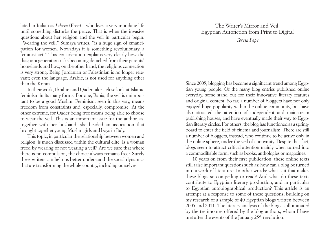<span id="page-28-0"></span>lated in Italian as *Libera* (Free) – who lives a very mundane life until something disturbs the peace. That is when the invasive questions about her religion and the veil in particular begin. "Wearing the veil," Sumaya writes, "is a huge sign of emancipation for women. Nowadays it is something revolutionary, a feminist act." This consideration explains very clearly how the diaspora generation risks becoming detached from their parents' homelands and how, on the other hand, the religious connection is very strong. Being Jordanian or Palestinian is no longer relevant; even the language, Arabic, is not used for anything other than the Koran.

In their work, Ibrahim and Qader take a close look at Islamic feminism in its many forms. For one, Rania, the veil is unimportant to be a good Muslim. Feminism, seen in this way, means freedom from constraints and, especially, compromise. At the other extreme, for Qader being free means being able to choose to wear the veil. This is an important issue for the author, as, together with her husband, she headed an association that brought together young Muslim girls and boys in Italy.

This topic, in particular the relationship between women and religion, is much discussed within the cultural elite. Is a woman freed by wearing or not wearing a veil? Are we sure that where there is no compulsion, the choice always remains free? Surely these writers can help us better understand the social dynamics that are transforming the whole country, including ourselves.

# The Writer's Mirror and Veil. Egyptian Autofiction from Print to Digital *Teresa Pepe*

Since 2005, blogging has become a significant trend among Egyptian young people. Of the many blog entries published online everyday, some stand out for their innovative literary features and original content. So far, a number of bloggers have not only enjoyed huge popularity within the online community, but have also attracted the attention of independent and mainstream publishing houses, and have eventually made their way to Egyptian literary circles. For others, the blog has functioned as a springboard to enter the field of cinema and journalism. There are still a number of bloggers, instead, who continue to be active only in the online sphere, under the veil of anonymity. Despite that fact, blogs seem to attract critical attention mainly when turned into a commodifiable form, such as books, anthologies or magazines.

10 years on from their first publication, these online texts still raise important questions such as: how can a blog be turned into a work of literature. In other words: what is it that makes these blogs so compelling to read? And what do these texts contribute to Egyptian literary production, and in particular to Egyptian autobiographical production? This article is an attempt at a response to some of these questions, building on my research of a sample of 40 Egyptian blogs written between 2005 and 2011. The literary analysis of the blogs is illuminated by the testimonies offered by the blog authors, whom I have met after the events of the January 25<sup>th</sup> revolution.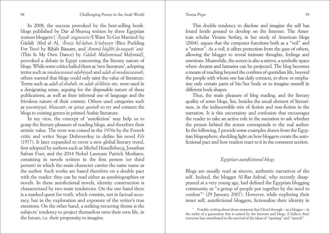In 2008, the success provoked by the best-selling bookblogs published by Dar al-Shuruq written by three Egyptian women bloggers [ ʿ*Ayzah* ʾ*atgawwiz (*I Want To Get Married) by Gadah ʿAbd al-ʿAl, ʾ*Aruzz bil-laban li-šahsayn* (Rice Pudding For Two) by Rihab Bassam, and ʾ*Amma hadihı fa-raqsatı* ʾ*anaā*  (This Is My Own Dance) by *Gadah Muhammad Mahmud]*, provoked a debate in Egypt concerning the literary nature of blogs. While some critics hailed them as 'new literature', adopting terms such as *mudawwanat adabiyyah* and *adab al-mudawwanah*, others warned that blogs could only taint the value of literature. Terms such as *adab al-shabab*, or *adab al-klinix* etc. were used in a denigrating sense, arguing for the disposable nature of these publications, as well as their informal use of language and the frivolous nature of their content. Others used categories such as *yawmiyyat, khawatir*, or *qissas qasirah* to try and connect the blogs to existing genres in printed Arabic literature.

In my view, the concept of 'autofiction' may help us to grasp the literary pleasure of reading blogs, and therefore their artistic value. The term was coined in the 1970s by the French critic and writer Serge Dubrouvksy to define his novel *Fils* (1977). It later expanded to cover a new global literary trend, first adopted by authors such as Michel Houellebecq, Jonathan Safran Foer, and the 2014 Nobel Laureate Patrick Modiano, consisting in novels written in the first person (or third person) in which the main character carries the same name as the author. Such works are based therefore on a double pact with the reader: they can be read either as autobiographies or novels. In these autofictional novels, identity construction is characterized by two main tendencies. On the one hand there is a marked quest for truth, which consists, not in factual accuracy, but in the exploration and exposure of the writer's true emotions. On the other hand, a striking recurring theme is the subjects' tendency to project themselves onto their own life, in the future, i.e. their propensity to imagine.

This double tendency to disclose and imagine the self has found fertile ground to develop on the Internet. The American scholar Viviane Serfaty, in her study of American blogs (2004), argues that the computer functions both as a "veil" and a "mirror". As a veil, it offers protection from the gaze of others, allowing the blogger to reveal intimate thoughts, feelings and emotions. Meanwhile, the screen is also a mirror, a symbolic space where dreams and fantasies can be projected. The blog becomes a means of reaching beyond the confines of quotidian life, beyond the people with whom one has daily contacts, to show or emphasize only certain parts of his/her body or to imagine oneself in different body shapes.

Thus, the main pleasure of blog reading, and the literary quality of some blogs, lies, besides the usual element of literariness, in the indiscernible mix of fiction and non-fiction in the narration. It is this uncertainty and confusion that encourages the reader to take an active role in the narration to ask whether the person behind the screen corresponds to the real author. In the following, I provide some examples drawn from the Egyptian blogosphere, shedding light on how bloggers create the autofictional pact and how readers react to it in the comment section.

# *Egyptian autofictional blogs*

Blogs are usually read as sincere, authentic narratives of the self. Indeed, the blogger Al-Bar Ashraf, who recently disappeared at a very young age, had defined the Egyptian blogging community as "a group of people put together by the need to confess"1 (29 January 2007). However, while exploring their inner self, autofictional bloggers, fictionalize their identity in

<sup>1</sup> Frankly, writing about those moments that I lived through – as a blogger – in the midst of a generation that is united by the Internet and blogs, (I believe that) everyone has contributed to the survival of the ideas of "opening" and "speech".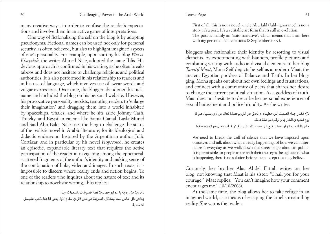#### Teresa Pepe

#### 60 Challenging Power in the Arab World Teresa Pepe

many creative ways, in order to confuse the reader's expectations and involve them in an active game of interpretations.

One way of fictionalizing the self on the blog is by adopting pseudonyms. Fictional names can be used not only for personal security, as often believed, but also to highlight imagined aspects of one's personality. For example, upon starting his blog *Wassa' Khayalak*, the writer Ahmed Naje, adopted the name Iblis. His devious approach is confirmed in his writing, as he often breaks taboos and does not hesitate to challenge religious and political authorities. It is also performed in his relationship to readers and in his use of language, which involves use of swear words and vulgar expressions. Over time, the blogger abandoned his nickname and included the blog on his personal website. However, his provocative personality persists, tempting readers to 'enlarge their imagination' and dragging them into a world inhabited by spaceships, whales, and where he sits aside Johnny Cash, Trotzky, and Egyptian cinema like Samia Gamal, Layla Murad and Said Abu Bakr. Naje uses the blog to challenge the status of the realistic novel in Arabic literature, for its ideological and didactic endeavour. Inspired by the Argentinian author Julio Cortàzar, and in particular by his novel *Hopscotch*, he creates an episodic, expandable literary text that requires the active participation of the reader in navigating among the ephemeral, scattered fragments of the author's identity and making sense of the combination of links, video and images. In such texts, it is impossible to discern where reality ends and fiction begins. To one of the readers who inquires about the nature of text and its relationship to novelistic writing, Iblis replies:

دى اوال مش رواية يا عم ابو جهل وال قصة قصرية، دى اسمها تدوينة ودا فن تاني خالص لسه بيتشكل. التدوينة هي نص ذاتي في المقام الاول يعني انا هنا بكتب هلوساتي الشخصية

First of all, this is not a novel, uncle Abu Jahl (Jahl=ignorance) is not a story, it's a post. It's a veritable art form that is still in evolution. The post is mainly an 'auto-narrative', which means that I am here with my personal hallucinations (8 September 2007).

Bloggers also fictionalize their identity by resorting to visual elements, by experimenting with banners, profile pictures and combining writing with audio and visual elements. In her blog *Tanatif Maat*, Mona Seif depicts herself as a modern Maat, the ancient Egyptian goddess of Balance and Truth. In her blogging, Mona speaks out about her own feelings and frustrations, and connect with a community of peers that shares her desire to change the current political situation. As a goddess of truth, Maat does not hesitate to describe her personal experiences of sexual harassment and police brutality. As she writes:

لازم نكسر جدار الصمت اللي حطيناه ، و نحكي عن اللي بيحصلنا فعلا, عن ازاى بنشيل هم كل يوم مُشبه في الشارع, أو نركب مواصلة عامة. جايز لما الناس يشوفوا بعينينا قبح اللي بيحصلنا ، يبقى ما فيش قدامهم حل غير انهم يصدقوا.

We need to break the wall of silence that we have imposed upon ourselves and talk about what is really happening, of how we can internalize it everyday as we walk down the street or go about in public. It is permissible for people to see with their own eyes the ugliness of what is happening, there is no solution before them except that they believe.

Curiously, her brother Alaa Abdel Fattah writes on her blog, not knowing that Maat is his sister: "I hail you for your courage." Maat replies: "You can't imagine how your comment encourages me" (10/10/2006).

At the same time, the blog allows her to take refuge in an imagined world, as a means of escaping the cruel surrounding reality. She warns the reader: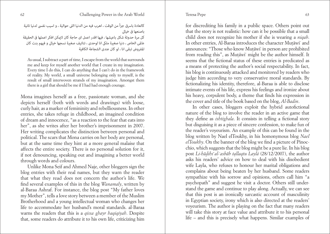#### Teresa Pepe

كالعادة باسرق جزأ من الوقت ، اهرب فيه من الدنيا اللي حوالية ، و اسيب نفسي لدنيا تانية باصنعها في خيالي

كل مرة حدوتة شكل باعيشها ، فيها اقدر اعمل اى حاجة كان لامكن افكر اعملها في الحقيقة عالمي الخاص ، دنيا صغرة ملكي انا لوحدى ، تناتيف صغرة نسجها خيالي و فيهم بنت كان املفروض تبقى انا ، لو كان عندى الشجاعة الكافية

As usual, I subtract a part of time, I escape from the world that surrounds me and keep for myself another world that I create in my imagination. Every time I do this, I can do anything that I can't do in the framework of reality. My world, a small universe belonging only to myself, is the result of small interwoven strands of my imagination. Amongst them there is a girl that should be me if I had had enough courage.

Mona imagines herself as a free, passionate woman, and she depicts herself (both with words and drawings) with loose, curly hair, as a marker of femininity and rebelliousness. In other entries, she takes refuge in childhood, an imagined condition of dream and innocence, "as a reaction to the fear that eats into her", as she writes after her brother's imprisonment in 2007. Her writing complicates the distinction between personal and political. The scars that Mona carries on her body are personal, but at the same time they hint at a more general malaise that affects the entire society. There is no personal solution for it, if not denouncing, speaking out and imagining a better world through words and colours.

Unlike Mona Seif and Ahmed Naje, other bloggers sign the blog entries with their real names, but they warn the reader that what they read does not concern the author's life. We find several examples of this in the blog *Wanamaly*, written by al-Baraa Ashraf. For instance, the blog post "My father loves my Mother", tells a love story between a member of the Muslim Brotherhood and a young intellectual woman who changes her life to accommodate her husband's moral standards. al-Baraa warns the readers that this is a *qissa ghayr haqiqiyah*. Despite that, some readers do attribute it to his own life, criticizing him

for discrediting his family in a public space. Others point out that the story is not realistic: how can it be possible that a small child does not recognize his mother if she is wearing a *niqab*. In other entries, Al-Baraa introduces the character Mutawiʿ and announces: "Those who know Mutawiʿ in person are prohibited from reading this", as Mutawiʿ might be the author himself. It seems that the fictional status of these entries is predicated as a means of protecting the author's social respectability. In fact, his blog is continuously attacked and monitored by readers who judge him according to very conservative moral standards. By fictionalizing his identity, therefore, al-Baraa is able to disclose intimate events of his life, express his feelings and ironize about his heavy, corpulent body, a theme that finds his expression in the cover and title of the book based on the blog, *Al-Badin*.

In other cases, bloggers exploit the hybrid autofictional nature of the blog to involve the reader in an active game that they define as *ishtighala*. It consists in telling a fictional story but disguising it as a piece of sincere confession, to make fun of the reader's voyeurism. An example of this can be found in the blog written by Nael elToukhy, in his homonymous blog *Nael elToukhy*. On the banner of the blog we find a picture of Pinocchio, which suggests that the blog might be a pure lie. In his blog post *Li-hadihı al-ʾasbab tallaqtu Laylà* (28/12/2007), the author asks his readers' advice on how to deal with his disobedient wife Layla, who refuses to honour her marital obligations and complains about being beaten by her husband. Some readers sympathize with his sorrow and opinions, others call him "a psychopath" and suggest he visit a doctor. Others still understand the game and continue to play along. Actually, we can see that this post is an ironically sarcastic account of masculinity in Egyptian society, irony which is also directed at the readers' voyeurism. The author is playing on the fact that many readers will take this story at face value and attribute it to his personal life – and this is precisely what happens. Similar examples of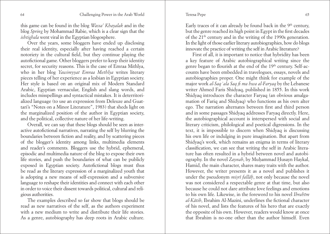Teresa Pepe

this game can be found in the blog *Wassa' Khayalak* and in the blog *Spring* by Mohammad Rabie, which is a clear sign that the *ishtighala* went viral in the Egyptian blogosphere.

Over the years, some bloggers have ended up disclosing their real identity, especially after having reached a certain notoriety in the cultural field, but they continue playing the autofictional game. Other bloggers prefer to keep their identity secret, for security reasons. This is the case of Emraa Mithlya, who in her blog *Yawimyyat Emraa Methlya* writes literary pieces telling of her experience as a lesbian in Egyptian society. Her style is based on an original mix of Modern Standard Arabic, Egyptian vernacular, English and slang words, and includes misspellings and syntactical mistakes. It is deterritorialized language (to use an expression from Deleuze and Guattari's "Notes on a Minor Literature", 1983) that sheds light on the marginalized position of the author in Egyptian society, and the political, collective nature of her life-writing.

Overall, we can say that these blogs should be seen as interactive autofictional narratives, narrating the self by blurring the boundaries between fiction and reality, and by scattering pieces of the blogger's identity among links, multimedia elements and reader's comments. Bloggers use the hybrid, ephemeral, episodic and multimedia nature of the blog to expose their own life stories, and push the boundaries of what can be publicly exposed in Egyptian society. Autofictional blogs must thus be read as the literary expression of a marginalized youth that is adopting a new means of self-expression and a subversive language to reshape their identities and connect with each other in order to voice their dissent towards political, cultural and religious authorities.

The examples described so far show that blogs should be read as new narratives of the self, as the authors experiment with a new medium to write and distribute their life stories. As a genre, autobiography has deep roots in Arabic culture.

Early traces of it can already be found back in the  $9<sup>th</sup>$  century, but the genre reached its high point in Egypt in the first decades of the 21th century and in the writing of the 1990s generation. In the light of those earlier literary autobiographies, how do blogs innovate the practice of writing the self in Arabic literature?

First of all, it is important to notice that hybridity has been a key feature of Arabic autobiographical writing since the genre began to flourish at the end of the 19<sup>th</sup> century. Self-accounts have been embedded in travelogues, essays, novels and autobiographies proper. One might think for example of the major work *al-Saq* ʿ*ala Saq fi ma hwa al-Faryaq* by the Lebanese writer Ahmed Faris Shidyaq, published in 1855. In this work Shidyaq introduces the character Faryaq (an obvious amalgamation of Fariq and Shidyaq) who functions as his own alter ego. The narration alternates between first and third person and in some passages Shidyaq addresses Faryaq directly. Here, the autobiographical account is interspersed with social and literary criticism, philological and poetical digressions. In the text, it is impossible to discern when Shidyaq is discussing his own life or indulging in pure imagination. But apart from Shidyaq's work, which remains an enigma in terms of literary classification, we can see that writing the self in Arabic literature has often resulted in a hybrid between novel and autobiography. In the novel Zaynab, by Muḥammad Ḥusayn Haykal, Hamid, the main character, shares many traits with the author. However, the writer presents it as a novel and publishes it under the pseudonym *misrı fallah*, not only because the novel was not considered a respectable genre at that time, but also because he could not dare attribute love feelings and emotions to his own life. Likewise, in the foreword to his novel *Ibrahım al-Katib*, Ibrahim Al-Mazini, underlines the fictional character of his novel, and lists the features of his hero that are exactly the opposite of his own. However, readers would know at once that Ibrahim is no-one other than the author himself. Even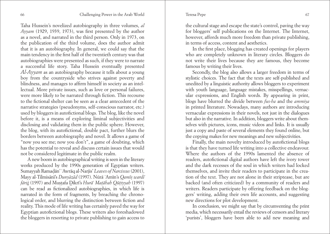Taha Hussein's novelized autobiography in three volumes, *al Ayyam* (1929, 1939, 1973), was first presented by the author as a novel, and narrated in the third person. Only in 1973, on the publication of the third volume, does the author admit that it is an autobiography. In general, we could say that the main tendency in the first half of the twentieth century was that autobiographies were presented as such, if they were to narrate a successful life story. Taha Hussein eventually presented *Al-Ayyam* as an autobiography because it tells about a young boy from the countryside who strives against poverty and blindness, and manages to affirm himself in society as an intellectual. More private issues, such as love or personal failures, were more likely to be narrated through fiction. This recourse to the fictional shelter can be seen as a clear antecedent of the narrative strategies (pseudonyms, self-conscious narrator, etc.) used by bloggers in autofictional blogs. The blog, like the novel before it, is a means of exploring liminal subjectivities and disclosing and validating them in the public sphere. However, the blog, with its autofictional, double pact, further blurs the borders between autobiography and novel. It allows a game of "now you see me; now you don't", a game of doubting, which has the potential to reveal and discuss certain issues that would not be considered legitimate in the public realm.

A new boom in autobiographical writing is seen in the literary works produced by the 1990s generation of Egyptian writers. Sumayyah Ramadan' ʾAwraq al-Narjis' *Leaves of Narcissus* (2001), Mayy al-Tilmisanı's *Dunyazad* (1997). Nura ʾAmın's *Qamıs wardı farig* (1997) and Mustafa Dikrı's *Hura*ʾ *Matahah Qutiyyah* (1997) can be read as fictionalized autobiographies, in which life is narrated in the form of fragments, by breaching the chronological order, and blurring the distinction between fiction and reality. This mode of life writing has certainly paved the way for Egyptian autofictional blogs. These writers also foreshadowed the bloggers in resorting to private publishing to gain access to

the cultural stage and escape the state's control, paving the way for bloggers' self publications on the Internet. The Internet, however, affords much more freedom than private publishing, in terms of access, content and aesthetics.

In the first place, blogging has created openings for players who are completely unknown in literary circles. Bloggers do not write their lives because they are famous, they become famous by writing their lives.

Secondly, the blog also allows a larger freedom in terms of stylistic choices. The fact that the texts are self-published and unedited by a linguistic authority allows bloggers to experiment with youth language, language mistakes, misspellings, vernacular expressions, and English words. By appearing in print, blogs have blurred the divide between *fus-ha* and the *ammiya* in printed literature. Nowadays, many authors are introducing vernacular expressions in their novels, not just in the dialogues but also in the narrative. In addition, bloggers write about themselves with pictures, icons, music videos and links. It is usually just a copy and paste of several elements they found online, but the copying makes for new meanings and new subjectivities.

Finally, the main novelty introduced by autofictional blogs is that they have turned life writing into a collective endeavour. Where the authors of the 1990s lamented the absence of readers, autofictional digital authors have left the ivory tower and the dark recesses of the soul in which writers had locked themselves, and invite their readers to participate in the creation of the text. They are not alone in their striptease, but are backed (and often criticized) by a community of readers and writers. Readers participate by offering feedback on the bloggers' writing, adding their own life accounts, and suggesting new directions for plot development.

In conclusion, we might say that by circumventing the print media, which necessarily entail the reviews of censors and literary 'purists', bloggers have been able to add new meaning and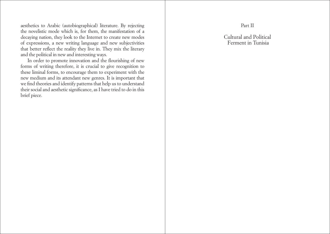<span id="page-34-0"></span>aesthetics to Arabic (autobiographical) literature. By rejecting the novelistic mode which is, for them, the manifestation of a decaying nation, they look to the Internet to create new modes of expressions, a new writing language and new subjectivities that better reflect the reality they live in. They mix the literary and the political in new and interesting ways.

In order to promote innovation and the flourishing of new forms of writing therefore, it is crucial to give recognition to these liminal forms, to encourage them to experiment with the new medium and its attendant new genres. It is important that we find theories and identify patterns that help us to understand their social and aesthetic significance, as I have tried to do in this brief piece.

# Part II

Cultural and Political Ferment in Tunisia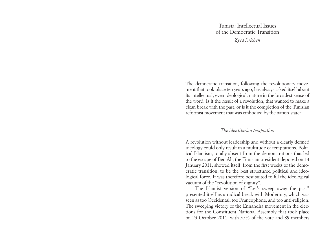Tunisia: Intellectual Issues of the Democratic Transition *Zyed Krichen* 

<span id="page-35-0"></span>The democratic transition, following the revolutionary movement that took place ten years ago, has always asked itself about its intellectual, even ideological, nature in the broadest sense of the word. Is it the result of a revolution, that wanted to make a clean break with the past, or is it the completion of the Tunisian reformist movement that was embodied by the nation-state?

#### *The identitarian temptation*

A revolution without leadership and without a clearly defined ideology could only result in a multitude of temptations. Political Islamism, totally absent from the demonstrations that led to the escape of Ben Ali, the Tunisian president deposed on 14 January 2011, showed itself, from the first weeks of the democratic transition, to be the best structured political and ideological force. It was therefore best suited to fill the ideological vacuum of the "revolution of dignity".

 The Islamist version of "Let's sweep away the past" presented itself as a radical break with Modernity, which was seen as too Occidental, too Francophone, and too anti-religion. The sweeping victory of the Ennahdha movement in the elections for the Constituent National Assembly that took place on 23 October 2011, with 37% of the vote and 89 members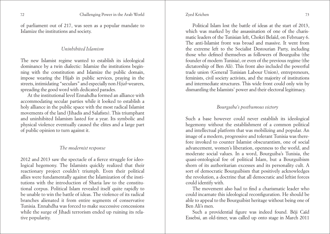of parliament out of 217, was seen as a popular mandate to Islamize the institutions and society.

### *Uninhibited Islamism*

The new Islamist regime wanted to establish its ideological dominance by a twin dialectic: Islamize the institutions beginning with the constitution and Islamize the public domain, impose wearing the Hijab in public services, praying in the streets, intimidating "seculars" and especially non *Hijab* wearers, spreading the good word with dedicated parades.

At the institutional level Ennahdha formed an alliance with accommodating secular parties while it looked to establish a holy alliance in the public space with the most radical Islamist movements of the land (Jihadis and Salafists). This triumphant and uninhibited Islamism lasted for a year. Its symbolic and physical violence eventually caused the elites and a large part of public opinion to turn against it.

# *The modernist response*

2012 and 2013 saw the spectacle of a fierce struggle for ideological hegemony. The Islamists quickly realized that their reactionary project couldn't triumph. Even their political allies were fundamentally against the Islamization of the institutions with the introduction of Sharia law to the constitutional corpus. Political Islam revealed itself quite rapidly to be unable to win the battle of ideas. The violence of its radical branches alienated it from entire segments of conservative Tunisia. Ennahdha was forced to make successive concessions while the surge of Jihadi terrorism ended up ruining its relative popularity.

#### Zyed Krichen

Political Islam lost the battle of ideas at the start of 2013, which was marked by the assassination of one of the charismatic leaders of the Tunisian left, Chokri Belaïd, on February 6. The anti-Islamist front was broad and massive. It went from the extreme left to the Socialist Destourian Party, including those who defined themselves as followers of Bourguiba (the founder of modern Tunisia), or even of the previous regime (the dictatorship of Ben Ali). This front also included the powerful trade union (General Tunisian Labour Union), entrepreneurs, feminists, civil society activists, and the majority of institutions and intermediate structures. This wide front could only win by dismantling the Islamists' power and their electoral legitimacy.

# *Bourguiba's posthumous victory*

Such a base however could never establish its ideological hegemony without the establishment of a common political and intellectual platform that was mobilizing and popular. An image of a modern, progressive and tolerant Tunisia was therefore invoked to counter Islamist obscurantism, one of social advancement, women's liberation, openness to the world, and moderate social values. In a word, Bourguiba's Tunisia, the quasi-ontological foe of political Islam, but a Bourguibism shorn of its authoritarian excesses and its personality cult. A sort of democratic Bourguibism that positively acknowledges the revolution, a doctrine that all democratic and leftist forces could identify with.

The movement also had to find a charismatic leader who could incarnate this ideological reconfiguration. He should be able to appeal to the Bourguibist heritage without being one of Ben Ali's men.

Such a providential figure was indeed found. Béji Caïd Essebsi, an old-timer, was called up onto stage in March 2011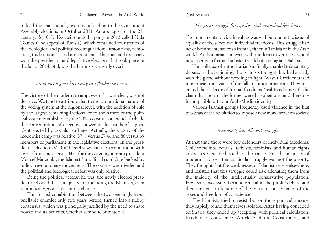to lead the transitional government leading to the Constituent Assembly elections in October 2011. An apologist for the 21st century, Béji Caïd Essebsi founded a party in 2012 called Nida Tounes (The appeal of Tunisia), which contained four trends of the ideological and political reconfiguration: Destourians, democrats, trade unionists and independents. This man and this party won the presidential and legislative elections that took place in the fall of 2014. Still, was the Islamists era really over?

## *From ideological bipolarity to a flabby consensus*

The victory of the modernist camp, even if it was clear, was not decisive. We tend to attribute that to the proportional nature of the voting system at the regional level, with the addition of rule by the largest remaining factions, or to the nature of the political system established by the 2014 constitution, which forbade the concentration of executive power in the hands of a president elected by popular suffrage. Actually, the victory of the modernist camp was relative: 37% versus 27%, and 86 versus 69 members of parliament in the legislative elections. In the presidential election, Béji Caïd Essebsi won in the second round with 56% of the votes versus 44% for the outgoing interim president Moncef Marzouki, the Islamists' unofficial candidate backed by radical revolutionary movements. The country was divided and the political and ideological defeat was only relative.

Being the political veteran he was, the newly elected president reckoned that a majority not including the Islamists, even symbolically, wouldn't stand a chance.

This forced cohabitation between the two seemingly irreconcilable enemies only two years before, turned into a flabby consensus, which was principally justified by the need to share power and its benefits, whether symbolic or material.

#### Zyed Krichen

# *The great struggle for equality and individual freedoms*

The fundamental divide in values was without doubt the issue of equality of the sexes and individual freedoms. This struggle had never been so intense or so frontal, either in Tunisia or in the Arab world. Authoritarianism, even with modernist overtones, would never permit a free and substantive debate on big societal issues.

The collapse of authoritarianism finally enabled this salutary debate. In the beginning, the Islamists thought they had already won the game without needing to fight. Wasn't Occidentalized modernism the avatar of the fallen authoritarianism? They reiterated the dialectic of formal freedoms /real freedoms with the claim that most of the former were blasphemous, and therefore incompatible with our Arab-Muslim identity.

Various Islamist groups frequently used violence in the first two years of the revolution to impose a new moral order on society.

# *A minority but efficient struggle*

At that time there were few defenders of individual freedoms. Only some intellectuals, activists, feminists, and human rights advocates were dedicated to the cause. For the majority of modernist forces, this particular struggle was not the priority. They thought that the weaknesses of Islamism were elsewhere, and insisted that this struggle could risk alienating them from the majority of the intellectually conservative population. However, two issues became central in the public debate and then written in the stone of the constitution: equality of the sexes and freedom of conscience.

The Islamists tried to resist, but on those particular issues they rapidly found themselves isolated. After having conceded on Sharia, they ended up accepting, with political calculation, freedom of conscience (Article 6 of the Constitution) and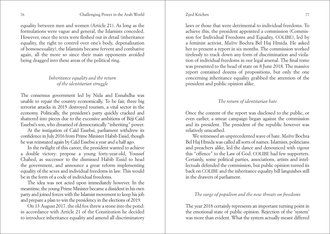#### Zyed Krichen

equality between men and women (Article 21). As long as the formulations were vague and general, the Islamists conceded. However, once the texts were fleshed out in detail (inheritance equality, the right to control over one's body, depenalization of homosexuality), the Islamists became fervent and combative again, all the more so since their main opponents avoided being dragged into these areas of the political ring.

# *Inheritance equality and the return of the identitarian struggle*

The consensus government led by Nida and Ennahdha was unable to repair the country economically. To be fair, three big terrorist attacks in 2015 destroyed tourism, a vital sector in the economy. Politically, the president's party quickly cracked and shattered into pieces due to the excessive ambitions of Béji Caïd Essebsi's son, who dreamed of democratically "inheriting" power.

At the instigation of Caïd Essebsi, parliament withdrew its confidence in July 2016 from Prime Minister Habib Essid, though he was reinstated again by Caïd Essebsi a year and a half ago.

In the twilight of this career, the president wanted to achieve a double victory: propose a young forty-year-old, Youssef Chahed, as successor to the dismissed Habib Essid to head the government, and announce a great reform implementing equality of the sexes and individual freedoms in law. This would be in the form of a code of individual freedoms.

The idea was not acted upon immediately however. In the meantime, the young Prime Minister became a dissident in his own party and joined forces with the Islamist movement to keep his job and prepare a plan to win the presidency in the elections of 2019.

On 13 August 2017, the old fox threw a stone into the pond: in accordance with Article 21 of the Constitution he decided to introduce inheritance equality and amend all discriminatory laws or those that were detrimental to individual freedoms. To achieve this, the president appointed a commission (Commission for Individual Freedoms and Equality, COLIBE), led by a feminist activist, *Maître* Bochra Bel Haj Hmida. He asked her to present a report in six months. The commission worked tirelessly to track down any form of discrimination and violation of individual freedoms in our legal arsenal. The final tome was presented to the head of state on 8 June 2018. The massive report contained dozens of propositions, but only the one concerning inheritance equality grabbed the attention of the president and public opinion alike.

# *The return of identitarian hate*

Once the content of the report was disclosed to the public, or even earlier, a smear campaign began against the commission and its president. The president of the republic however was relatively unscathed.

We witnessed an unprecedented wave of hate. *Maître* Bochra Bel Haj Hmida was called all sorts of names. Islamists, politicians and preachers alike, led the dance and denounced with vigour this "offence" to the Law of God. COLIBE had few supporters. Certainly, some political parties, associations, artists and intellectuals defended the commission, but public opinion turned its back on COLIBE and the inheritance equality bill languishes still in the drawers of parliament.

# *The surge of populism and the new threats on freedoms*

The year 2018 certainly represents an important turning point in the emotional state of public opinion. Rejection of the 'system' was more than evident. What the system actually meant differed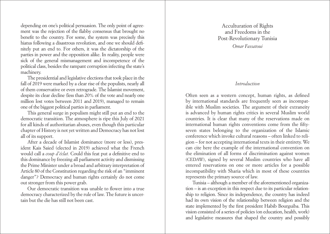<span id="page-39-0"></span>depending on one's political persuasion. The only point of agreement was the rejection of the flabby consensus that brought no benefit to the country. For some, the system was precisely this hiatus following a disastrous revolution, and one we should definitely put an end to. For others, it was the dictatorship of the parties in power and the opposition alike. In reality, people were sick of the general mismanagement and incompetence of the political class, besides the rampant corruption infecting the state's machinery.

The presidential and legislative elections that took place in the fall of 2019 were marked by a clear rise of the populists, nearly all of them conservative or even retrograde. The Islamist movement, despite its clear decline (less than 20% of the vote and nearly one million lost votes between 2011 and 2019), managed to remain one of the biggest political parties in parliament.

This general surge in populism might still put an end to the democratic transition. The atmosphere is ripe this July of 2021 for all kinds of authoritarian abuses, even though this particular chapter of History is not yet written and Democracy has not lost all of its support.

After a decade of Islamist dominance (more or less), president Kais Saied (elected in 2019) achieved what the French would call a *coup d'éclat.* Could this feat put a definitive end to this dominance by freezing all parliament activity and dismissing the Prime Minister under a broad and arbitrary interpretation of Article 80 of the Constitution regarding the risk of an "imminent danger"? Democracy and human rights certainly do not come out stronger from this power grab.

Our democratic transition was unable to flower into a true democracy characterized by the rule of law. The future is uncertain but the die has still not been cast.

# Acculturation of Rights and Freedoms in the Post-Revolutionary Tunisia

*Omar Fassatoui*

#### *Introduction*

Often seen as a western concept, human rights, as defined by international standards are frequently seen as incompatible with Muslim societies. The argument of their extraneity is advanced by human rights critics in several Muslim world countries. It is clear that many of the reservations made on international human rights conventions come from the fiftyseven states belonging to the organization of the Islamic conference which invoke cultural reasons – often linked to religion – for not accepting international texts in their entirety. We can cite here the example of the international convention on the elimination of all forms of discrimination against women (CEDAW), signed by several Muslim countries who have all entered reservations on one or more articles for a possible incompatibility with Sharia which in most of these countries represents the primary source of law.

Tunisia – although a member of the aforementioned organization – is an exception in this respect due to its particular relationship to religion. Since its independence, the country has indeed had its own vision of the relationship between religion and the state implemented by the first president Habib Bourguiba. This vision consisted of a series of policies (on education, health, work) and legislative measures that shaped the country and possibly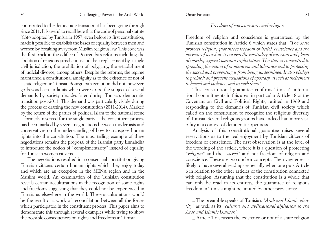contributed to the democratic transition it has been going through since 2011. It is useful to recall here that the code of personal statute (CSP) adopted by Tunisia in 1957, even before its first constitution, made it possible to establish the bases of equality between men and women by breaking away from Muslim religious law. This code was the first brick in the edifice of Bourguiba's reforms including the abolition of religious jurisdictions and their replacement by a single civil jurisdiction, the prohibition of polygamy, the establishment of judicial divorce, among others. Despite the reforms, the regime maintained a constitutional ambiguity as to the existence or not of a state religion in Tunisia. Bourguiba's evolution did not, however, go beyond certain limits which were to be the subject of several demands by society decades later during Tunisia's democratic transition post-2011. This demand was particularly visible during the process of drafting the new constitution (2011-2014). Marked by the return of the parties of political Islam to the national scene – formerly reserved for the single party – the constituent process has been marked by several negotiations between modernists and conservatives on the understanding of how to transpose human rights into the constitution. The most telling example of these negotiations remains the proposal of the Islamist party Ennahdha to introduce the notion of "complementarity" instead of equality for Tunisian women citizens.

The negotiations resulted in a consensual constitution giving Tunisian citizens certain human rights which they enjoy today and which are an exception in the MENA region and in the Muslim world. An examination of the Tunisian constitution reveals certain acculturations in the recognition of some rights and freedoms suggesting that they could not be experienced in Tunisia as elsewhere in the world. These acculturations would be the result of a work of reconciliation between all the forces which participated in the constituent process. This paper aims to demonstrate this through several examples while trying to show the possible consequences on rights and freedoms in Tunisia.

# *Freedom of consciousness and religion*

Freedom of religion and conscience is guaranteed by the Tunisian constitution in Article 6 which states that: *"The State protects religion, guarantees freedom of belief, conscience and the exercise of worship. It ensures the neutrality of mosques and places of worship against partisan exploitation. The state is committed to spreading the values of moderation and tolerance and to protecting the sacred and preventing it from being undermined. It also pledges to prohibit and prevent accusations of apostasy, as well as incitement to hatred and violence, and to curb them".*

This constitutional guarantee confirms Tunisia's international commitments in this area, in particular Article 18 of the Covenant on Civil and Political Rights, ratified in 1969 and responding to the demands of Tunisian civil society which called on the constitution to recognize the religious diversity of Tunisia. Several religious groups have indeed had more visibility in a context of democratic openness.

Analysis of this constitutional guarantee raises several reservations as to the real enjoyment by Tunisian citizens of freedom of conscience. The first observation is at the level of the wording of the article, where it is a question of protecting "*religion"* and the *"sacred"* and not freedom of religion and conscience*.* These are two unclear concepts. Their vagueness is likely to have several readings especially when one puts Article 6 in relation to the other articles of the constitution connected with religion. Assuming that the constitution is a whole that can only be read in its entirety, the guarantee of religious freedom in Tunisia might be limited by other provisions:

\_ The preamble speaks of Tunisia's *"Arab and Islamic identity"* as well as its *"cultural and civilizational affiliation to the Arab and Islamic Ummah"*;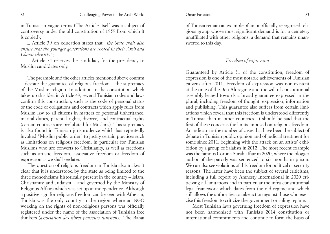#### Omar Fassatoui

#### 82 Challenging Power in the Arab World Charles and States Challenging Power in the Arab World S3

in Tunisia in vague terms (The Article itself was a subject of controversy under the old constitution of 1959 from which it is copied);

\_ Article 39 on education states that "*the State shall also ensure that the younger generations are rooted in their Arab and Islamic identity*";

\_ Article 74 reserves the candidacy for the presidency to Muslim candidates only.

The preamble and the other articles mentioned above confirm – despite the guarantee of religious freedom – the supremacy of the Muslim religion. In addition to the constitution which takes up this idea in Article 49, several Tunisian codes and laws confirm this construction, such as the code of personal status or the code of obligations and contracts which apply rules from Muslim law to all citizens in matters of personal (inheritance, marital duties, parental rights, divorce) and contractual rights (certain contracts are prohibited for Muslims). This supremacy is also found in Tunisian jurisprudence which has repeatedly invoked "Muslim public order" to justify certain practices such as limitations on religious freedom, in particular for Tunisian Muslims who are converts to Christianity, as well as freedoms such as artistic freedom, associative freedom or freedom of expression as we shall see later.

The question of religious freedom in Tunisia also makes it clear that it is understood by the state as being limited to the three monotheisms historically present in the country – Islam, Christianity and Judaism – and governed by the Ministry of Religious Affairs which was set up at independence. Although a positive sign for religious freedom can be seen with Atheism, Tunisia was the only country in the region where an NGO working on the rights of non-religious persons was officially registered under the name of the association of Tunisian free thinkers *(association des libres penseurs tunisiens)*. The Bahai

of Tunisia remain an example of an unofficially recognized religious group whose most significant demand is for a cemetery unaffiliated with other religions, a demand that remains unanswered to this day.

#### *Freedom of expression*

Guaranteed by Article 31 of the constitution, freedom of expression is one of the most notable achievements of Tunisian citizens after 2011. Freedom of expression was non-existent at the time of the Ben Ali regime and the will of constitutional assembly leaned towards a broad guarantee expressed in the plural, including freedom of thought, expression, information and publishing. This guarantee also suffers from certain limitations which reveal that this freedom is understood differently in Tunisia than in other countries. It should be said that the first of these concerns the limits imposed on religious freedom. An indicator is the number of cases that have been the subject of debate in Tunisian public opinion and of judicial treatment for some since 2011, beginning with the attack on an artists' exhibition by a group of Salafists in 2012. The most recent example was the famous Corona Surah affair in 2020, where the blogger author of the parody was sentenced to six months in prison. We can also see violations of this freedom for political or security reasons. The latter have been the subject of several criticisms, including a full report by Amnesty International in 2020 criticizing all limitations and in particular the infra-constitutional legal framework which dates from the old regime and which still allows the authorities to take action against those who exercise this freedom to criticize the government or ruling regime.

Most Tunisian laws governing freedom of expression have not been harmonized with Tunisia's 2014 constitution or international commitments and continue to form the basis of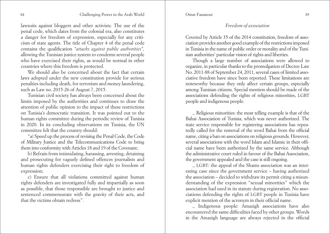Omar Fassatoui

lawsuits against bloggers and other activists. The use of the penal code, which dates from the colonial era, also constitutes a danger for freedom of expression, especially for any criticism of state agents. The title of Chapter 4 of the penal code contains the qualification *"attacks against public authorities",* allowing the Tunisian justice system to condemn several people who have exercised their rights, as would be normal in other countries where this freedom is protected.

We should also be concerned about the fact that certain laws adopted under the new constitution provide for serious penalties including death, for terrorism and money laundering, such as Law no. 2015-26 of August 7, 2015.

Tunisian civil society has always been concerned about the limits imposed by the authorities and continues to draw the attention of public opinion to the impact of these restrictions on Tunisia's democratic transition. It was pointed out to the human rights committee during the periodic review of Tunisia in 2020. In its concluding observations on Tunisia, the UN committee felt that the country should:

"a) Speed up the process of revising the Penal Code, the Code of Military Justice and the Telecommunications Code to bring them into conformity with Articles 18 and 19 of the Covenant;

b) Refrain from intimidating, harassing, arresting, detaining and prosecuting for vaguely defined offences journalists and human rights defenders exercising their right to freedom of expression;

c) Ensure that all violations committed against human rights defenders are investigated fully and impartially as soon as possible, that those responsible are brought to justice and sentenced commensurate with the gravity of their acts, and that the victims obtain redress".

*Freedom of association*

Covered by Article 35 of the 2014 constitution, freedom of association provides another good example of the restrictions imposed in Tunisia in the name of public order or morality and of the Tunisian authorities' particular vision of rights and liberties.

Though a large number of associations were allowed to organize, in particular thanks to the promulgation of Decree-Law No. 2011-88 of September 24, 2011, several cases of limited associative freedom have since been reported. These limitations are noteworthy because they only affect certain groups, especially among Tunisian citizens. Special mention should be made of the associations defending the rights of religious minorities, LGBT people and indigenous people.

\_ Religious minorities: the most telling example is that of the Bahai Association of Tunisia, which was never authorized. The state service responsible for registering associations has repeatedly called for the removal of the word Bahai from the official name, citing a ban on associations on religious grounds. However, several associations with the word Islam and Islamic in their official name have been authorized by the same service. Although the administrative court ruled in favour of the Bahai Association, the government appealed and the case is still ongoing.

\_ LGBT: the appeal of the Shams association was an interesting case since the government service – having authorized the association – decided to withdraw its permit citing a misunderstanding of the expression "sexual minorities" which the association had used in its statute during registration. No associations defending the rights of LGBT people in Tunisia have explicit mention of the acronym in their official name.

\_ Indigenous people: Amazigh associations have also encountered the same difficulties faced by other groups. Words in the Amazigh language are always rejected in the official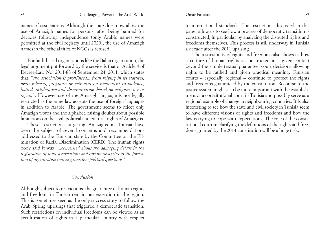#### Omar Fassatoui

names of associations. Although the state does now allow the use of Amazigh names for persons, after being banned for decades following independence (only Arabic names were permitted at the civil registry until 2020), the use of Amazigh names in the official titles of NGOs is refused.

For faith-based organisations like the Bahai organisation, the legal argument put forward by the service is that of Article 4 of Decree-Law No. 2011-88 of September 24, 2011, which states that: "*the association is prohibited... from relying in its statutes, press releases, programs or activities on incitement to violence, hatred, intolerance and discrimination based on religion, sex or region*". However use of the Amazigh language is not legally restricted as the same law accepts the use of foreign languages in addition to Arabic. The government seems to reject only Amazigh words and the alphabet, raising doubts about possible limitations on the civil, political and cultural rights of Amazighs.

These restrictions targeting Amazighs in Tunisia have been the subject of several concerns and recommendations addressed to the Tunisian state by the Committee on the Elimination of Racial Discrimination (CERD). The human rights body said it was "*...concerned about the damaging delays in the registration of some associations and certain obstacles to the formation of organizations raising sensitive political questions*."

### *Conclusion*

Although subject to restrictions, the guarantee of human rights and freedoms in Tunisia remains an exception in the region. This is sometimes seen as the only success story to follow the Arab Spring uprisings that triggered a democratic transition. Such restrictions on individual freedoms can be viewed as an acculturation of rights in a particular country with respect to international standards. The restrictions discussed in this paper allow us to see how a process of democratic transition is constructed, in particular by analyzing the disputed rights and freedoms themselves. This process is still underway in Tunisia a decade after the 2011 uprising.

The justiciability of rights and freedoms also shows us how a culture of human rights is constructed in a given context beyond the simple textual guarantee, court decisions allowing rights to be ratified and given practical meaning. Tunisian courts – especially regional – continue to protect the rights and freedoms guaranteed by the constitution. Recourse to the justice system might also be more important with the establishment of a constitutional court in Tunisia and possibly serve as a regional example of change in neighbouring countries. It is also interesting to see how the state and civil society in Tunisia seem to have different visions of rights and freedoms and how the law is trying to cope with expectations. The role of the constitutional court in clarifying the definitions of the rights and freedoms granted by the 2014 constitution will be a huge task.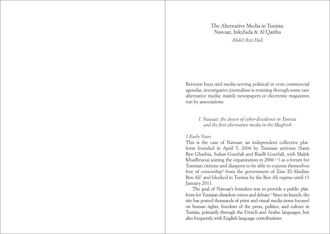The Alternative Media in Tunisia: Nawaat, Inkyfada & Al Qatiba *Abdel Aziz Hali* 

<span id="page-44-0"></span>Between buzz and media serving political or even commercial agendas, investigative journalism is resisting through some rare alternative media: mainly newspapers or electronic magazines run by associations.

# *I. Nawaat: the doyen of cyber-dissidence in Tunisia and the first alternative media in the Maghreb*

# *1.Early Years*

This is the case of Nawaat: an independent collective platform founded in April 5, 2004 by Tunisian activists (Sami Ben Gharbia, Sufian Guerfali and Riadh Guerfali, with Malek Khadhraoui joining the organization in  $2006^{1,2}$  as a forum for Tunisian citizens and diaspora to be able to express themselves free of censorship<sup>4</sup> from the government of Zine El-Abidine Ben Ali<sup>5</sup> and blocked in Tunisia by the Ben Ali regime until 13 January 2011.

The goal of Nawaat's founders was to provide a public platform for Tunisian dissident voices and debate.<sup>3</sup> Since its launch, the site has posted thousands of print and visual media items focused on human rights, freedom of the press, politics, and culture in Tunisia, primarily through the French and Arabic languages, but also frequently with English language contributions.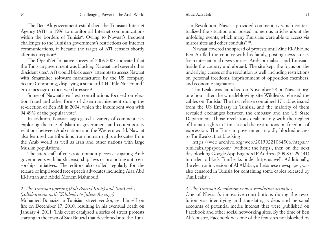Abdel Aziz Hali

The Ben Ali government established the Tunisian Internet Agency (ATI) in 1996 to monitor all Internet communications within the borders of Tunisia<sup>6</sup>. Owing to Nawaat's frequent challenges to the Tunisian government's restrictions on Internet communications, it became the target of ATI censors shortly after its inception<sup>2</sup>.

The OpenNet Initiative survey of 2006-2007 indicated that the Tunisian government was blocking Nawaat and several other dissident sites7 . ATI would block users' attempts to access Nawaat with Smartfilter software manufactured by the US company Secure Computing, displaying a standard 404 "File Not Found" error message on their web browsers<sup>2</sup>.

Some of Nawaat's earliest contributions focused on election fraud and other forms of disenfranchisement during the re-election of Ben Ali in 2004, which the incumbent won with 94.49% of the popular vote<sup>8</sup>.

In addition, Nawaat aggregated a variety of commentaries exploring the role of Islam in government and contemporary relations between Arab nations and the Western world. Nawaat also featured contributions from human rights advocates from the Arab world as well as Iran and other nations with large Muslim populations.

The site's staff often wrote opinion pieces castigating Arab governments with harsh censorship laws or promoting anti-censorship initiatives. The editors also called regularly for the release of imprisoned free-speech advocates including Alaa Abd El-Fattah and Abdel Monem Mahmoud.

# *2. The Tunisian uprising (Sidi Bouzid Riots) and TuniLeaks (collaboration with Wikileaks & Julian Assange)*

Mohamed Bouazizi, a Tunisian street vendor, set himself on fire on December 17, 2010, resulting in his eventual death on January 4, 2011. This event catalyzed a series of street protests starting in the town of Sidi Bouzid that developed into the Tuni-

sian Revolution. Nawaat provided commentary which contextualized the situation and posted numerous articles about the unfolding events, which many Tunisians were able to access via mirror sites and other conduits<sup>9, 10</sup>.

Nawaat covered the spread of protests until Zine El-Abidine Ben Ali fled the country with his family, posting news stories from international news sources, Arab journalists, and Tunisians inside the country and abroad. The site kept the focus on the underlying causes of the revolution as well, including restrictions on personal freedoms, imprisonment of opposition members, and economic stagnation.

TuniLeaks was launched on November 28 on Nawaat.org, one hour after the whistleblowing site Wikileaks released the cables on Tunisia. The first release contained 17 cables issued from the US Embassy in Tunisia, and the majority of them revealed exchanges between the embassy and the US State Department. Those revelations dealt mainly with the neglect of human rights in Tunisia and the restrictions on freedom of expression. The Tunisian government rapidly blocked access to TuniLeaks, first blocking

[https://web.archive.org/web/20150221084506/https://](https://web.archive.org/web/20150221084506/https://tunileaks.appspot.com/) [tunileaks.appspot.com/](https://web.archive.org/web/20150221084506/https://tunileaks.appspot.com/) (without the https), then on the next day blocking Google App Engine's IP Address (209.85.229.141) in order to block TuniLeaks under https as well. Additionally, the electronic version of Al Akhbar, a Lebanese newspaper, was also censored in Tunisia for containing some cables released by  $T$ uniLeaks<sup>11</sup>

### *3. The Tunisian Revolution & post-revolution activities*

One of Nawaat's innovative contributions during the revolution was identifying and translating videos and personal accounts of potential media interest that were published on Facebook and other social networking sites. By the time of Ben Ali's ouster, Facebook was one of the few sites not blocked by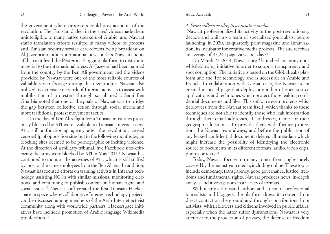#### Abdel Aziz Hali

the government where protesters could post accounts of the revolution. The Tunisian dialect in the sites' videos made them unintelligible to many native speakers of Arabic, and Nawaat staff's translation efforts resulted in many videos of protests and Tunisian security service crackdowns being broadcast on Al-Jazeera and other international news outlets. Nawaat and its affiliates utilized the Posterous blogging platform to distribute material to the international press. Al-Jazeera had been banned from the country by the Ben Ali government and the videos provided by Nawaat were one of the most reliable sources of valuable video footage during the revolution.10 Nawaat also utilized its extensive network of Internet activists to assist with mobilization of protesters through social media. Sami Ben Gharbia noted that one of the goals of Nawaat was to bridge the gap between collective action through social media and more traditional protest movement tactics.

On the day of Ben Ali's flight from Tunisia, most sites previously blocked by ATI were available to Tunisian Internet users. ATI, still a functioning agency after the revolution, ceased censorship of opposition sites but in the following months began blocking sites deemed to be pornographic or inciting violence. At the direction of a military tribunal, five Facebook sites criticizing the army were blocked by ATI in May 2011.<sup>6</sup> Nawaat has continued to monitor the activities of ATI, which is still staffed by most of the same employees from the Ben Ali era. In addition, Nawaat has focused efforts on training activists in Internet technology, assisting NGOs with similar missions, monitoring elections, and continuing to publish content on human rights and social issues.12 Nawaat staff created the first Tunisian Hackerspace, a space where collaborative Internet technology projects can be discussed among members of the Arab Internet activist community along with worldwide partners. Hackerspace initiatives have included promotion of Arabic language Wikimedia proliferation.13

#### *4. From collective blog to associative media*

 Nawaat professionalized its activity in the post-revolutionary decade and built up a team of specialized journalists, before launching, in 2020, its quarterly print magazine and Innawaation, its incubator for creative media projects. The site receives an average of 87,244 page views per day.16

On March 27, 2014, Nawaat.org<sup>14</sup> launched an anonymous whistleblowing initiative in order to support transparency and spot corruption. The initiative is based on the GlobaLeaks platform and the Tor technology and is accessible in Arabic and French. In collaboration with GlobaLeaks, the Nawaat team created a special page that deploys a number of open source applications and techniques which protect those leaking confidential documents and files. This software even protects whistleblowers from the Nawaat team itself, which thanks to these techniques are not able to identify those who leak information through their email addresses, IP addresses, names or their geographic locations. To provide them with further protection, the Nawaat team always, and before the publication of any leaked confidential document, deletes all metadata which might increase the possibility of identifying the electronic source of documents in its different formats: audio, video clips, photos or texts.15

Today, Nawaat focuses on many topics from angles rarely covered by the mainstream media, including online. These topics include democracy, transparency, good governance, justice, freedoms and fundamental rights. Nawaat produces news, in-depth analysis and investigations in a variety of formats.

With nearly a thousand authors and a team of professional journalists and bloggers, the platform draws its content from direct contact on the ground and through contributions from activists, whistleblowers and citizens involved in public affairs, especially when the latter suffer dysfunctions. Nawaat is very attentive to the protection of privacy, the defense of freedom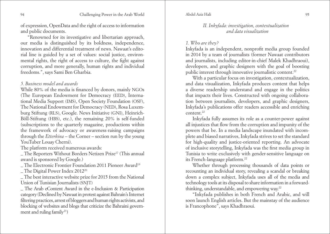of expression, OpenData and the right of access to information and public documents.

"Renowned for its investigative and libertarian approach, our media is distinguished by its boldness, independence, innovation and differential treatment of news. Nawaat's editorial line is guided by a set of values: social justice, environmental rights, the right of access to culture, the fight against corruption, and more generally, human rights and individual freedoms.", says Sami Ben Gharbia.

# *5. Business model and awards*

While 80% of the media is financed by donors, mainly NGOs (The European Endowment for Democracy (EED), International Media Support (IMS), Open Society Foundation (OSF), The National Endowment for Democracy (NED), Rosa Luxemburg Stiftung (RLS), Google. News Initiative (GNI), Heinrich-Böll-Stiftung (HBS), etc.), the remaining 20% is self-funded (subscriptions to the quarterly magazine, productions within the framework of advocacy or awareness-raising campaigns through the *Etterkina* – the Corner – section run by the young YouTuber Louay Cherni).

The platform received numerous awards:

\_ The Reporters Without Borders Netizen Prize17 (This annual award is sponsored by Google.)

\_ The Electronic Frontier Foundation 2011 Pioneer Award19

\_ The Digital Power Index 201220

\_ The best interactive website prize for 2015 from the National Union of Tunisian Journalists (SNJT)

\_ The Arab eContent Award in the e-Inclusion & Participation category (Declined by Nawaat in protest against Bahrain's Internet filtering practices, arrest of bloggers and human rights activists, and blocking of websites and blogs that criticize the Bahraini government and ruling family<sup>21</sup>)

### *II. Inkyfada: investigation, contextualization and data visualization*

### *1. Who are they?*

Inkyfada is an independent, nonprofit media group founded in 2014 by a team of journalists (former Nawaat contributors and journalists, including editor-in-chief Malek Khadhraoui), developers, and graphic designers with the goal of boosting public interest through innovative journalistic content.<sup>22</sup>

With a particular focus on investigation, contextualization, and data visualization, Inkyfada produces content that helps a diverse readership understand and engage in the politics that impacts their lives. Constructed with ongoing collaboration between journalists, developers, and graphic designers, Inkyfada's publications offer readers accessible and enriching content.22

Inkyfada fully assumes its role as a counter-power against all injustices that flow from the corruption and impunity of the powers that be. In a media landscape inundated with incomplete and biased narratives, Inkyfada strives to set the standard for high-quality and justice-oriented reporting. An advocate of inclusive storytelling, Inkyfada was the first media group in Tunisia to write exclusively with gender-sensitive language on its French-language platform.22

Whether through processing thousands of data points or recounting an individual story, revealing a scandal or breaking down a complex subject, Inkyfada uses all of the media and technology tools at its disposal to share information in a forwardthinking, understandable, and empowering way.22

"Inkyfada publishes in both French and Arabic, and will soon launch English articles. But the mainstay of the audience is Francophone", says Khadhraoui.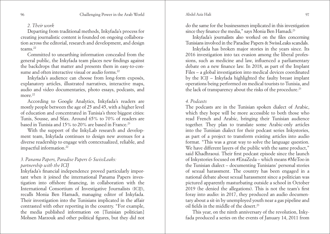### *2. Their work*

Departing from traditional methods, Inkyfada's process for creating journalistic content is founded on ongoing collaboration across the editorial, research and development, and design teams.22

Committed to unearthing information concealed from the general public, the Inkyfada team places new findings against the backdrops that matter and presents them in easy-to-consume and often interactive visual or audio forms.<sup>22</sup>

Inkyfada's audience can choose from long-form exposés, explanatory articles, illustrated narratives, interactive maps, audio and video documentaries, photo essays, podcasts, and more  $^{22}$ 

According to Google Analytics, Inkyfada's readers are mostly people between the age of 25 and 45, with a higher level of education and concentrated in Tunisia's three biggest cities: Tunis, Sousse, and Sfax. Around 65% to 70% of readers are based in Tunisia and 15% to 20% are based in France.<sup>23</sup>

With the support of the InkyLab research and development team, Inkyfada continues to design new avenues for a diverse readership to engage with contextualized, reliable, and impactful information.22

# *3. Panama Papers, Paradise Papers & SwissLeaks: partnership with the ICIJ*

Inkyfada's financial independence proved particularly important when it joined the international Panama Papers investigation into offshore financing, in collaboration with the International Consortium of Investigative Journalists (ICIJ), recalls Monia Ben Hamadi, managing editor of Inkyfada. Their investigation into the Tunisians implicated in the affair contrasted with other reporting in the country. "For example, the media published information on [Tunisian politician] Mohsen Marzouk and other political figures, but they did not

do the same for the businessmen implicated in this investigation since they finance the media," says Monia Ben Hamadi.<sup>23</sup>

Inkyfada's journalists also worked on the files concerning Tunisians involved in the Paradise Papers & SwissLeaks scandals.

Inkyfada has broken major stories in the years since. Its 2016 investigation into tax evasion among the liberal professions, such as medicine and law, influenced a parliamentary debate on a new finance law. In 2018, as part of the Implant Files – a global investigation into medical devices coordinated by the ICIJ – Inkyfada highlighted the faulty breast implant operations being performed on medical tourists to Tunisia, and the lack of transparency about the risks of the procedure.<sup>23</sup>

### *4. Podcasts*

The podcasts are in the Tunisian spoken dialect of Arabic, which they hope will be more accessible to both those who read French and Arabic, bringing their Tunisian audience together. They plan to translate some Arabic-only articles into the Tunisian dialect for their podcast series Inkystories, as part of a project to transform existing articles into audio format. "This was a great way to solve the language question. We have different layers of the public with the same product." said Khadhraoui. Their first podcast episode since the launch of Inkystories focused on #EnaZeda – which means #MeToo in the Tunisian dialect – documenting Tunisians' personal stories of sexual harassment. The country has been engaged in a national debate about sexual harassment since a politician was pictured apparently masturbating outside a school in October 2019 (he denied the allegations). This is not the team's first foray into audio: in 2017, they produced an audio documentary about a sit-in by unemployed youth near a gas pipeline and oil fields in the middle of the desert.23

This year, on the ninth anniversary of the revolution, Inkyfada produced a series on the events of January 14, 2011 from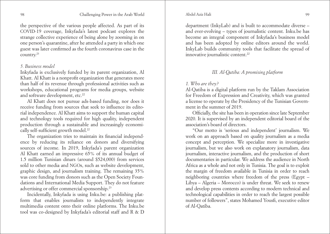98 Challenging Power in the Arab World Abdel Aziz Hali 99

the perspective of the various people affected. As part of its COVID-19 coverage, Inkyfada's latest podcast explores the strange collective experience of being alone by zooming in on one person's quarantine, after he attended a party in which one guest was later confirmed as the fourth coronavirus case in the country.23

#### *5. Business model*

Inkyfada is exclusively funded by its parent organization, Al Khatt. Al Khatt is a nonprofit organization that generates more than half of its revenue through professional activities such as workshops, educational programs for media groups, website and software development, etc.<sup>22</sup>

Al Khatt does not pursue ads-based funding, nor does it receive funding from sources that seek to influence its editorial independence. Al Khatt aims to support the human capital and technology tools required for high quality, independent production through a sustainable and increasingly economically self-sufficient growth model.<sup>22</sup>

The organization tries to maintain its financial independence by reducing its reliance on donors and diversifying sources of income. In 2019, Inkyfada's parent organization Al Khatt earned an impressive 65% of its annual budget of 1.5 million Tunisian dinars (around \$524,000) from services sold to other media and NGOs, such as website development, graphic design, and journalism training. The remaining 35% was core funding from donors such as the Open Society Foundations and International Media Support. They do not feature advertising or offer commercial sponsorship.23

Incidentally, Inkyfada is using Inku.be: a publishing platform that enables journalists to independently integrate multimedia content onto their online platforms. The Inku.be tool was co-designed by Inkyfada's editorial staff and R & D

department (InkyLab) and is built to accommodate diverse – and ever-evolving – types of journalistic content. Inku.be has become an integral component of Inkyfada's business model and has been adopted by online editors around the world. InkyLab builds community tools that facilitate the spread of innovative journalistic content.22

# *III. Al-Qatiba: A promising platform*

*1. Who are they?*

Al-Qatiba is a digital platform run by the Taklam Association for Freedom of Expression and Creativity, which was granted a license to operate by the Presidency of the Tunisian Government in the summer of 2019.

Officially, the site has been in operation since late September 2020. It is supervised by an independent editorial board of the association's board of directors.

"Our motto is 'serious and independent' journalism. We work on an approach based on quality journalism as a media concept and perception. We specialize more in investigative journalism, but we also work on explanatory journalism, data journalism, interactive journalism, and the production of short documentaries in particular. We address the audience in North Africa as a whole and not only in Tunisia. The goal is to exploit the margin of freedom available in Tunisia in order to reach neighboring countries where freedom of the press (Egypt – Libya – Algeria – Morocco) is under threat. We seek to renew and develop press contents according to modern technical and technological capabilities in order to reach the largest possible number of followers", states Mohamed Yousfi, executive editor of Al-Qatiba.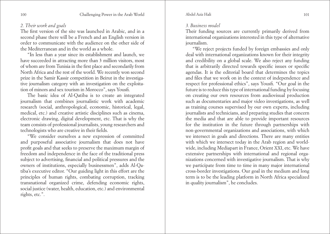# *2. Their work and goals*

The first version of the site was launched in Arabic, and in a second phase there will be a French and an English version in order to communicate with the audience on the other side of the Mediterranean and in the world as a whole.

"In less than a year since its establishment and launch, we have succeeded in attracting more than 3 million visitors, most of whom are from Tunisia in the first place and secondarily from North Africa and the rest of the world. We recently won second prize in the Samir Kassir competition in Beirut in the investigative journalism category with an investigation on the exploitation of minors and sex tourism in Morocco", says Yousfi.

The basic idea of Al-Qatiba is to create an integrated journalism that combines journalistic work with academic research (social, anthropological, economic, historical, legal, medical, etc.) and creative artistic disciplines such as cinema, electronic drawing, digital development, etc. That is why the team consists of professional journalists, young researchers and technologists who are creative in their fields.

"We consider ourselves a new expression of committed and purposeful associative journalism that does not have profit goals and that seeks to preserve the maximum margin of freedom and independence in the face of the traditional press subject to advertising, financial and political pressures and the owners of institutions, especially businessmen", adds Al-Qatiba's executive editor. "Our guiding light in this effort are the principles of human rights, combating corruption, tracking transnational organized crime, defending economic rights, social justice (water, health, education, etc.) and environmental rights, etc.".

# *3. Business model*

Their funding sources are currently primarily derived from international organizations interested in this type of alternative journalism.

"We reject projects funded by foreign embassies and only deal with international organizations known for their integrity and credibility on a global scale. We also reject any funding that is arbitrarily directed towards specific issues or specific agendas. It is the editorial board that determines the topics and files that we work on in the context of independence and respect for professional ethics", says Yousfi. "Our goal in the future is to reduce this type of international funding by focusing on creating our own resources from audiovisual production such as documentaries and major video investigations, as well as training courses supervised by our own experts, including journalists and technicians, and preparing studies that concern the media and that are able to provide important resources for the institution in the future through partnerships with non-governmental organizations and associations, with which we intersect in goals and directions. There are many entities with which we intersect today in the Arab region and worldwide, including Mediapart in France, Orient XXI, etc. We have extensive partnerships with international and regional organizations concerned with investigative journalism. That is why we participate from time to time in many major international cross-border investigations. Our goal in the medium and long term is to be the leading platform in North Africa specialized in quality journalism", he concludes.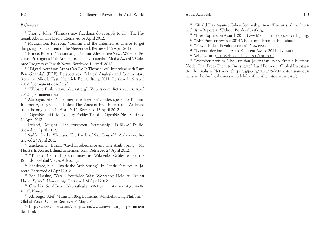#### *References*

<sup>1</sup> Thorne, John. "Tunisia's new freedoms don't apply to all". The National. Abu Dhabi Media. Retrieved 16 April 2012.

<sup>2</sup> MacKinnon, Rebecca. "Tunisia and the Internet: A chance to get things right?". Consent of the Networked. Retrieved 16 April 2012.

<sup>3</sup> Prince, Robert. "Nawaat.org (Tunisian Alternative News Website) Receives Prestigious 11th Annual Index on Censorship Media Award". Colorado Progressive Jewish News. Retrieved 16 April 2012.

<sup>4</sup> "Digital Activism: Arabs Can Do It Themselves" Interview with Sami Ben Gharbia" (PDF). Perspectives: Political Analysis and Commentary from the Middle East. Heinrich Böll Stiftung 2011. Retrieved 16 April 2012. [permanent dead link]

<sup>5</sup> "Website Evalutation: Nawaat.org". Valueis.com. Retrieved 16 April 2012. [permanent dead link]

<sup>6</sup> Abrougui, Afef. "The internet is freedom": Index speaks to Tunisian Internet Agency Chief". Index: The Voice of Free Expression. Archived from the original on 14 April 2012. Retrieved 16 April 2012.

<sup>7</sup> "OpenNet Initiative Country Profile: Tunisia". OpenNet.Net. Retrieved 16 April 2012.

<sup>8</sup> Ireland, Douglas. "The Forgotten Dictatorship". DIRELAND. Retrieved 22 April 2012.

<sup>9</sup> Sadiki, Larbi. "Tunisia: The Battle of Sidi Bouzid". Al-Jazeera. Retrieved 23 April 2012.

<sup>10</sup> Zuckerman, Ethan. "Civil Disobedience and The Arab Spring". My Heart's In Accra. EthanZuckerman.com. Retrieved 23 April 2012.

<sup>11</sup> "Tunisia: Censorship Continues as Wikileaks Cables Make the Rounds". Global Voices Advocacy.

<sup>12</sup> Randeree, Bilal. "Inside the Arab Spring". In Depth: Features. Al-Jazeera. Retrieved 24 April 2012.

<sup>13</sup> Ben Hassine, Wafa. "Youth-led Wiki Workshop Held at Nawaat HackerSpace". Nawaat.org. Retrieved 24 April 2012.

<sup>14</sup> Gharbia, Sami Ben. "Nawaatleaks: الوثائق لترسيب آمنا و خاصا موقعا تطلق نواة .Nawaat ."الرسية

<sup>15</sup> Abrougui, Afef. "Tunisian Blog Launches Whistleblowing Platform". Global Voices Online. Retrieved 6 May 2014.

<sup>16</sup> <http://www.valueis.com/visit/jtv.com/www.nawaat.org> [permanent] dead link]

<sup>17</sup> "World Day Against Cyber-Censorship: new "Enemies of the Internet" list – Reporters Without Borders". rsf.org.

<sup>18</sup> "Free Expression Awards 2011: New Media". indexoncensorship.org.

<sup>19</sup> "EFF Pioneer Awards 2014". Electronic Frontier Foundation.

<sup>20</sup> "Power Index: Revolutionaries". Newsweek.

<sup>21</sup> "Nawaat declines the Arab eContent Award 2011". Nawaat.

<sup>22</sup> Who we are [\(https://inkyfada.com/en/apropos/](https://inkyfada.com/en/apropos/))

<sup>23</sup> "Member profiles: The Tunisian Journalists Who Built a Business Model That Frees Them to Investigate" Layli Foroudi / Global Investigative Journalism Network ([https://gijn.org/2020/05/20/the-tunisian-jour](https://gijn.org/2020/05/20/the-tunisian-journalists-who-built-a-business-model-that-frees-them-to-investigate/)[nalists-who-built-a-business-model-that-frees-them-to-investigate/\)](https://gijn.org/2020/05/20/the-tunisian-journalists-who-built-a-business-model-that-frees-them-to-investigate/)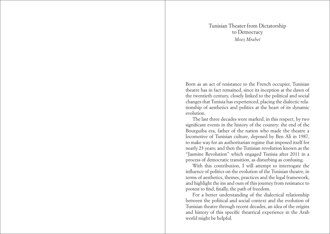Tunisian Theater from Dictatorship to Democracy *Moez Mrabet* 

<span id="page-52-0"></span>Born as an act of resistance to the French occupier, Tunisian theatre has in fact remained, since its inception at the dawn of the twentieth century, closely linked to the political and social changes that Tunisia has experienced, placing the dialectic relationship of aesthetics and politics at the heart of its dynamic evolution.

The last three decades were marked, in this respect, by two significant events in the history of the country: the end of the Bourguiba era, father of the nation who made the theatre a locomotive of Tunisian culture, deposed by Ben Ali in 1987, to make way for an authoritarian regime that imposed itself for nearly 23 years; and then the Tunisian revolution known as the "Jasmine Revolution" which engaged Tunisia after 2011 in a process of democratic transition, as disturbing as confusing.

With this contribution, I will attempt to interrogate the influence of politics on the evolution of the Tunisian theatre, in terms of aesthetics, themes, practices and the legal framework, and highlight the ins and outs of this journey from resistance to protest to find, finally, the path of freedom.

For a better understanding of the dialectical relationship between the political and social context and the evolution of Tunisian theatre through recent decades, an idea of the origins and history of this specific theatrical experience in the Arab world might be helpful.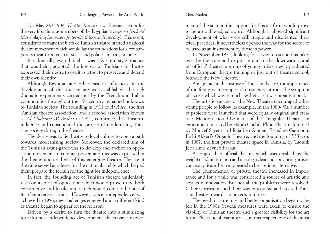#### Moez Mrabet

On May 26th 1909, *Théâtre Rossini* saw Tunisian actors for the very first time, as members of the Egyptian troupe *Al Jawk Al Masri* playing *La sincère fraternité* (Sincere Fraternity). This event, considered to mark the birth of Tunisian theatre, started a national theatre movement which would lay the foundations for a contemporary theatre rooted in its social and political milieu and times.

Paradoxically, even though it was a Western-style practice that was being adopted, the interest of Tunisians in theatre expressed their desire to use it as a tool to preserve and defend their own identity.

Although Egyptian and other eastern influences on the development of this theatre are well-established, the rich dramatic experiments carried out by the French and Italian communities throughout the 19<sup>th</sup> century remained unknown to Tunisian society. The founding in 1911 of *Al Adeb*, the first Tunisian theatre association, and a second association known as *Al Chahama Al Arabia* in 1912, confirmed this 'Eastern' influence and consolidated the project of modernising Tunisian society through the theatre.

The desire was to tie theatre to local culture to open a path towards modernising society. Moreover, the declared aim of the Tunisian avant-garde was to develop and anchor an opposition movement to colonial power, and this was expressed in the themes and aesthetic of this emerging theatre. Theatre at the time served as a lever for the nationalist elite which helped them prepare the terrain for the fight for independence.

In fact, the founding act of Tunisian theatre undeniably rests on a spirit of opposition which would prove to be both constructive and fertile, and which would come to be one of its characteristic traits. However, once independence was achieved in 1956, new challenges emerged and a different kind of theatre began to appear on the horizon.

Driven by a desire to turn the theatre into a stimulating force for post-independence development, the massive involvement of the state in the support for this art form would prove to be a double-edged sword. Although it allowed significant development of what were still fragile and disoriented theatrical practices, it nevertheless opened the way for the sector to be used as an instrument by those in power.

In November 1975, looking for a way to escape this takeover by the state and to put an end to the downward spiral of 'official' theatre, a group of young artists, newly-graduated from European theatre training or just out of theatre school, founded the New Theatre.

A major act in the history of Tunisian theatre, the appearance of the first private troupe in Tunisia was, at root, the symptom of a crisis which was as much aesthetic as it was organisational.

The artistic success of the New Theatre encouraged other young people to follow its example. In the 1980-90s, a number of projects were launched that were equally original and creative. Mention should be made of the Triangular Theatre, an experiment initiated by Habib Chebil, Phou Theatre, founded by Moncef Sayem and Raja ben Ammar, Ezzedine Gannoun, Fethi Akkeri's Organic Theatre, and the founding of *El Teatro* in 1987, the first private theatre space in Tunisia, by Taoufik Jebali and Zeyneb Farhat.

As opposed to official theatre, which was crushed by the weight of administration and missing a clear and convincing artistic concept, private theatre appeared to be a serious alternative.

The phenomenon of private theatre increased in importance and for a while was considered a source of artistic and aesthetic innovation. But not all the problems were resolved. Other worries pushed their way onto stage and steered Tunisian theatre towards an uncertain future.

The need for structure and better organisation began to be felt in the 1980s. Several measures were taken to ensure the viability of Tunisian theatre and a greater visibility for the art form. The issue of training was, in this respect, one of the most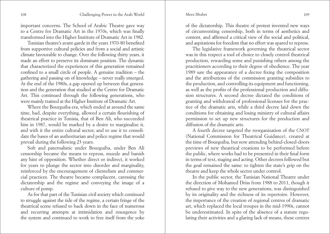important concerns. The School of Arabic Theatre gave way to a Centre for Dramatic Art in the 1970s, which was finally transformed into the Higher Institute of Dramatic Art in 1982.

Tunisian theatre's avant-garde in the years 1970-80 benefited from supportive cultural policies and from a social and artistic climate favourable to change. Over the following thirty years, it made an effort to preserve its dominant position. The dynamic that characterized the experiences of this generation remained confined to a small circle of people. A genuine tradition – the gathering and passing on of knowledge – never really emerged. At the end of the 1980s, a gap opened up between that generation and the generation that studied at the Centre for Dramatic Art. This continued through the following generations, who were mainly trained at the Higher Institute of Dramatic Art.

Where the Bourguiba era, which ended at around the same time, had, despite everything, allowed a certain flourishing of theatrical practice in Tunisia, that of Ben Ali, who succeeded him in 1987, would be marked by a desire to marginalize it, and with it the entire cultural sector, and to use it to consolidate the bases of an authoritarian and police regime that would prevail during the following 23 years.

Soft and paternalistic under Bourguiba, under Ben Ali censorship became the means to repress, muzzle and banish any hint of opposition. Whether direct or indirect, it worked for years to plunge the sector into disorder and marginality, reinforced by the encouragement of clientelism and commercial practices. The theatre became complacent, caressing the dictatorship and the regime and conveying the image of a culture of pomp.

As for that part of the Tunisian civil society which continued to struggle against the tide of the regime, a certain fringe of the theatrical scene refused to back down in the face of numerous and recurring attempts at intimidation and resurgence by the system and continued to work to free itself from the yoke of the dictatorship. This theatre of protest invented new ways of circumventing censorship, both in terms of aesthetics and content, and affirmed a critical view of the social and political, and aspirations for freedom that no effort was spared to repress.

The legislative framework governing the theatrical sector was in this respect a tool of choice to closely control theatrical production, rewarding some and punishing others among the practitioners according to their degree of obedience. The year 1989 saw the appearance of a decree fixing the composition and the attributions of the commission granting subsidies to the production, and controlling its equipment and functioning, as well as the profits of the professional production and diffusion structures. A second decree dictated the conditions of granting and withdrawal of professional licenses for the practice of the dramatic arts, while a third decree laid down the conditions for obtaining and losing ministry of cultural affairs permission to set up new structures for the production and diffusion of the dramatic arts.

A fourth decree targeted the reorganization of the CNOT (National Commission for Theatrical Guidance), created at the time of Bourguiba, but now attending behind-closed-doors previews of new theatrical creations to be performed before the public, where works had to be presented in their final form in terms of text, staging and acting. Other decrees followed but the goal remained the same: to tighten the state's grip on the theatre and keep the whole sector under control.

In the public sector, the Tunisian National Theatre under the direction of Mohamed Driss from 1988 to 2011, though it refused to give way to the new generations, was distinguished by its originality and the richness of its repertoire. However, the importance of the creation of regional centres of dramatic art, which replaced the local troupes in the mid-1990s, cannot be underestimated. In spite of the absence of a statute regulating their activities and a glaring lack of means, these centres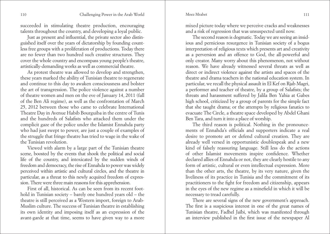succeeded in stimulating theatre production, encouraging talents throughout the country, and developing a loyal public.

Just as present and influential, the private sector also distinguished itself over the years of dictatorship by founding countless free groups with a proliferation of productions. Today there are no fewer than two hundred such creative structures. They cover the whole country and encompass young people's theatre, artistically-demanding works as well as commercial theatre.

As protest theatre was allowed to develop and strengthen, these years marked the ability of Tunisian theatre to regenerate and continue to this day to awaken consciousness and bolster the art of transgression. The police violence against a number of theatre women and men on the eve of January 14, 2011 (fall of the Ben Ali regime), as well as the confrontation of March 25, 2012 between those who came to celebrate International Theatre Day in Avenue Habib Bourguiba in the centre of Tunis and the hundreds of Salafists who attacked them under the complicit gaze of the police under the Islamist Ennahda party who had just swept to power, are just a couple of examples of the struggle that fringe theatre has tried to wage in the wake of the Tunisian revolution.

Viewed with alarm by a large part of the Tunisian theatre scene, boosted by the events that shook the political and social life of the country, and intoxicated by the sudden winds of freedom and democracy, the rise of Ennahda to power was widely perceived within artistic and cultural circles, and the theatre in particular, as a threat to this newly acquired freedom of expression. There were three main reasons for this apprehension.

First of all, historical. As can be seen from its recent foothold in Tunisian society – barely one hundred years old – the theatre is still perceived as a Western import, foreign to Arab-Muslim culture. The success of Tunisian theatre in establishing its own identity and imposing itself as an expression of the avant-garde at that time, seems to have given way to a more mixed picture today where we perceive cracks and weaknesses and a risk of regression that was unsuspected until now.

The second reason is dogmatic. Today we are seeing an insidious and pernicious resurgence in Tunisian society of a bogus interpretation of religious texts which presents art and creativity as a perversion and an offence to God, the all-powerful and only creator. Many worry about this phenomenon, not without reason. We have already witnessed several threats as well as direct or indirect violence against the artists and spaces of the theatre and drama teachers in the national education system. In particular, we recall the physical assault in El Kef on Rjab Magri, a performer and teacher of theatre, by a group of Salafists; the threats and harassment suffered by Jalila Ben Yahia at Gabes high school, criticized by a group of parents for the simple fact that she taught drama; or the attempts by religious fanatics to evacuate The Circle, a theatre space developed by Abdel Ghani Ben Tara, and turn it into a place of worship.

The third reason is political. Nothing in the pronouncements of Ennahda's officials and supporters indicate a real desire to promote art or defend cultural creation. They are already well versed in opportunistic doublespeak and a new kind of falsely reassuring language. Still less do the actions of other Islamist movements inspire confidence. Whether declared allies of Ennahda or not, they are clearly hostile to any form of artistic, cultural or even intellectual expression. More than the other arts, the theatre, by its very nature, given the liveliness of its practice in Tunisia and the commitment of its practitioners to the fight for freedom and citizenship, appears in the eyes of the new regime as a minefield in which it will be necessary to tread carefully.

There are several signs of the new government's approach. The first is a suspicious interest in one of the great names of Tunisian theatre, Fadhel Jaïbi, which was manifested through an interview published in the first issue of the newspaper Al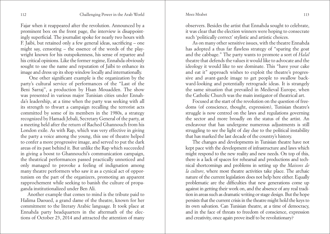Fajar when it reappeared after the revolution. Announced by a prominent box on the front page, the interview is disappointingly superficial. The journalist spoke for nearly two hours with F. Jaibi, but retained only a few general ideas, sacrificing – one might say, censoring – the essence of the words of the playwright known for his outspokenness, his sense of repartee and his critical opinions. Like the former regime, Ennahda obviously sought to use the name and reputation of Jaïbi to enhance its image and dress up its shop window locally and internationally.

 One other significant example is the organization by the party's cultural service of performances of the "Last of the Beni Sarraj", a production by Hsan Mouadden. The show was presented in various major Tunisian cities under Ennahda's leadership, at a time when the party was seeking with all its strength to thwart a campaign recalling the terrorist acts committed by some of its members in the 1980s, a strategy recognized by Hamadi Jebali, Secretary General of the party, at a meeting held after the return of Rached Ghannouch from his London exile. As with Rap, which was very effective in giving the party a voice among the young, this use of theatre helped to confer a more progressive image, and served to put the dark areas of its past behind it. But unlike the Rap which succeeded in giving a boost to Ghannouchi's communication campaign, the theatrical performances passed practically unnoticed and only managed to provoke a feeling of indignation among many theatre performers who saw it as a cynical act of opportunism on the part of the organizers, promoting an apparent rapprochement while seeking to banish the culture of propaganda institutionalized under Ben Ali.

Another example that comes to mind is the tribute paid to Halima Daoued, a grand dame of the theatre, known for her commitment to the literary Arabic language. It took place at Ennahda party headquarters in the aftermath of the elections of October 23, 2014 and attracted the attention of many

observers. Besides the artist that Ennahda sought to celebrate, it was clear that the election winners were hoping to consecrate such 'politically correct' stylistic and artistic choices.

As on many other sensitive issues, with the theatre Ennahda has adopted a thus far flawless strategy of "sparing the goat and the cabbage." The party wants to promote a sort of *Halal* theatre that defends the values it would like to advocate and the ideology it would like to see dominate. This "have your cake and eat it" approach wishes to exploit the theatre's progressive and avant-garde image to get people to swallow backward-looking and potentially retrograde ideas. It is strangely the same situation that prevailed in Medieval Europe, when the Catholic Church was the main instigator of theatrical art.

Focused at the start of the revolution on the question of freedoms (of conscience, thought, expression), Tunisian theatre's struggle is now centred on the laws and regulations governing the sector and more broadly on the status of the artist. An endeavour that has undergone numerous adjustments is still struggling to see the light of day due to the political instability that has marked the last decade of the country's history.

The changes and developments in Tunisian theatre have not kept pace with the development of infrastructure and laws which might respond to the new reality and new needs. On top of this, there is a lack of spaces for rehearsal and productions and technical shortcomings and problems in setting up the *Maisons de la culture*, where most theatre activities take place. The archaic nature of the current legislation does not help here either. Equally problematic are the difficulties that new generations come up against in getting their work on, and the absence of any real tradition in areas such as dramatic writing or stage design. But the hope persists that the current crisis in the theatre might hold the keys to its own salvation. Can Tunisian theatre, at a time of democracy, and in the face of threats to freedom of conscience, expression and creativity, once again prove itself to be revolutionary?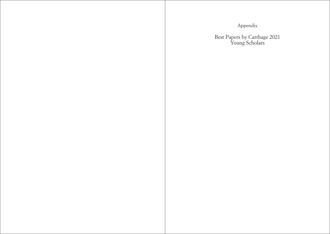Appendix

<span id="page-57-0"></span>Best Papers by Carthage 2021 Young Scholars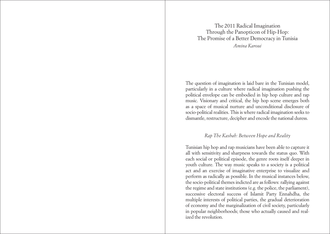# <span id="page-58-0"></span>The 2011 Radical Imagination Through the Panopticon of Hip-Hop: The Promise of a Better Democracy in Tunisia *Amina Karoui*

The question of imagination is laid bare in the Tunisian model, particularly in a culture where radical imagination pushing the political envelope can be embodied in hip hop culture and rap music. Visionary and critical, the hip hop scene emerges both as a space of musical nurture and unconditional disclosure of socio-political realities. This is where radical imagination seeks to dismantle, restructure, decipher and encode the national duress.

# *Rap The Kasbah: Between Hope and Reality*

Tunisian hip hop and rap musicians have been able to capture it all with sensitivity and sharpness towards the status quo. With each social or political episode, the genre roots itself deeper in youth culture. The way music speaks to a society is a political act and an exercise of imaginative enterprise to visualize and perform as radically as possible. In the musical instances below, the socio-political themes indicted are as follows: rallying against the regime and state institutions (e.g. the police, the parliament), successive electoral success of Islamit Party Ennahdha, the multiple interests of political parties, the gradual deterioration of economy and the marginalization of civil society, particularly in popular neighborhoods; those who actually caused and realized the revolution.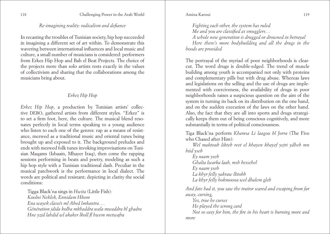# *Re-imagining reality: radicalism and defiance*

In recasting the troubles of Tunisian society, hip hop succeeded in imagining a different set of art within. To demonstrate this wavering between international influences and local music and culture, a small number of musicians is considered: performers from Erkez Hip Hop and Bab el Beat Projects. The choice of the projects more than solo artists rests exactly in the values of collectivism and sharing that the collaborations among the musicians bring about.

# *Erkez Hip Hop*

*Erkez Hip Hop*, a production by Tunisian artists' collective DEBO, gathered artists from different styles. "Erkez" is to set a firm foot, here, the culture. The musical blend resonates perfectly in local terms speaking to a young audience who listen to each one of the genres: rap as a means of resistance, mezwed as a traditional music and oriental tunes being brought up and exposed to it. The background preludes and ends with mezwed folk tunes invoking improvisations on Tunisian Maqams (Isbaain, Mhayer Iraq), then come the rapping sessions performing in beats and poetry, modeling as such a hip hop style with a Tunisian traditional dash. Peculiar in the musical patchwork is the performance in local dialect. The words are political and resistant; depicting in clarity the social conditions:

Tigga Black'na sings in *Hwita* (Little Fish)*: Koolni Neklek, Ennidam Hkom Ena wayek classés ml Abed lmkantra…. Génération jdida kolha mkhaddra wala mwaddra bl ghadra Hne yzid lahdid wl akaker lkoll fl hwem metwafra*

#### Amina Karoui

*Fighting each other, the system has ruled*

*Me and you are classified as smugglers…*

*A whole new generation is drugged or drowned in betrayal Here there's more bodybuilding and all the drugs in the hoods are provided*

The portrayal of the myriad of poor neighborhoods is clearcut. The word drugs is double-edged. The trend of muscle building among youth is accompanied not only with proteins and complementary pills but with drug abuse. Whereas laws and legislations on the selling and the use of drugs are implemented with coerciveness, the availability of drugs in poor neighborhoods raises a suspicious question on the aim of the system in turning its back on its distribution on the one hand, and on the sudden execution of the laws on the other hand. Also, the fact that they are all into sports and drugs strategically keeps them out of being conscious cognitively, and more substantially in terms of political consciousness.

Tiga Black'na perform *Khamsa Li laagou bl Jorra* (The Five who Chased after Him):

*Wel maktoub likteb reet el khayen khayef yejri ydheb mn biid yseb*

*Ey naam yseb Ghalta lwarka laab, msh bessehel Ey naam yseb La khyr felly yakraw lktobb La khyr felly hokmoona wel dhalem gleb* 

*And fate had it, you saw the traitor scared and escaping from far away, cursing,*

*Yes, true he curses*

*He played the wrong card*

*Not so easy for him, the fire in his heart is burning more and more*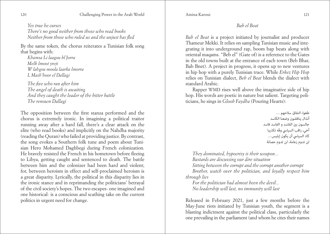*Yes true he curses There's no good neither from those who read books Neither from those who ruled us and the unjust has fled* 

By the same token, the chorus reiterates a Tunisian folk song that begins with:

*Khamsa Li laagou bl Jorra Melk lmoot yreji W lahgou moola laarka lmorra L Mash'hoor el Dallagi* 

*The five who ran after him The angel of death is awaiting And they caught the leader of the bitter battle The renown Dallagi* 

The opposition between the first stanza performed and the chorus is extremely ironic. In imagining a political traitor running away after a hard fall, there's a clear attack on the elite (who read books) and implicitly on the Nahdha majority (reading the Quran) who failed at providing justice. By contrast, the song evokes a Southern folk tune and poem about Tunisian Hero Mohamed Daghbegi during French colonization. He bravely resisted the French in his hometown before fleeing to Libya, getting caught and sentenced to death. The battle between him and the colonizer had been hard and violent; for, between heroism in effect and self-proclaimed heroism is a great disparity. Lyrically, the political in this disparity lies in the ironic stance and in reprimanding the politicians' betrayal of the civil society's hopes. The two escapes- one imagined and one historical- is a conscious and scathing take on the current politics in urgent need for change.

Amina Karoui

# *Bab el Beat*

*Bab el Beat* is a project initiated by journalist and producer Thameur Mekki. It relies on sampling Tunisian music and integrating it into underground rap, boom bap beats along with oriental maqams. "Beb el" (Gate of) is a reference to the Gates in the old towns built at the entrance of each town (Beb Bhar, Bab Bnet). A project in progress, it opens up to new ventures in hip hop with a purely Tunisian trace. While *Erkez Hip Hop*  relies on Tunisian dialect, *Beb el Beat* blends the dialect with standard Arabic.

Rapper WMD rises well above the imaginative side of hip hop. His words are poetic in nature but salient. Targeting politicians, he sings in *Gloob Faydha* (Pouring Hearts):

> طغوا، النفاق سالحهم ... أنذال يناقشون وضعنا الكاسد جالسون بني الفاسد و الفاسد فاسد أخي، راقب السيايس وفّه تكذيبا كاد السيايس أن يكون إبليس... لن تدوم زعامة، لن تدوم حصانة

*They dominated, hypocrisy is their weapon... Bastards are discussing our dire situation*

*Sitting between the corrupt and the corrupt another corrupt Brother, watch over the politician, and loyally respect him through lies*

*For the politician had almost been the devil... No leadership will last, no immunity will last* 

Released in February 2021, just a few months before the May-June riots initiated by Tunisian youth, the segment is a blasting indictment against the political class, particularly the one prevailing in the parliament (and whom he cites their names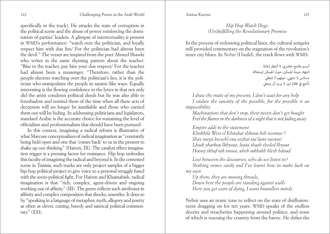specifically in the track). He attacks the state of corruption in the political scene and the abuse of power reinforcing the domination of parties' leaders. A glimpse of intertextuality is present in WMD's performance: "watch over the politician, and loyally respect him with due lies/ For the politician had almost been the devil." The verses are inspired from the poet Ahmed Shawki who writes in the same rhyming pattern about the teacher: "Rise to the teacher, pay him your due respect/ For the teacher had almost been a messenger. "Therefore, rather than the people-electors watching over the politician's lies, it is the politician who manipulates the people in satanic-like ways. Equally interesting is the flowing confidence in the lyrics in that not only did the artist condemn political deeds but he was also able to foreshadow and remind them of the time when all these acts of deception will no longer be justifiable and those who carried them out will be hiding. In addressing politicians and legislators, standard Arabic is the accurate choice for sustaining the level of officialism and professionalism that should have been pursued.

In this context, imagining a radical reform is illustrative of what Marcuse conceptualizes of radical imagination as "constantly being held open and one that 'comes back' to us in the present to shake up our thinking" (Haiven, IX). The catalyst effect imagination trigger is a pressing factor for resistance. Hip hop embodies this faculty of imagining the radical and beyond it. In the contested scene in Tunisia, such tracks are only project samples of a bigger hip-hop political project to give voice to a personal struggle fused with the socio-political fight. For Haiven and Khasnabish, radical imagination is that "rich, complex, agent-driven and ongoing working-out of affinity" (III). The genre reflects such attributes in affinity and complex composition that shocks, unsettles. It does so by "speaking in a language of metaphor, myth, allegory and poetry as often as clever, cutting, bawdy and satirical political commentary" (XXI).

# *Hip Hop Watch Dogs: (Un)fulfilling the Revolutionary Promise*

In the process of redrawing political lines, the cultural zeitgeist still provided commentary on the stagnation of the revolution's inner city blues. In *Nebni* (I build), the track flows with WMD:

> أرسم ملامح حاضري، لا أنتظر إعانة انتهك حرمة املمكن، حيث املمكن إستحالة دسائس لا تنتهي، حيلهم لا تنطلي تأجج يف ظالم ليل ال يريد أن ينجيل

*I draw the traits of my present, I don't wait for any help I violate the sanctity of the possible, for the possible is an impossibility*

*Machinations that don't stop, their twists don't get bought Feel the flames in the darkness of a night that is not fading away* 

*Empire adds to the statement:* 

*Khobbila West el Khitabat shkoon bsh nesmoo'? Shay mayji bessehl ena ezzhar taa'lamt nasnoo' Lfouk yharkou lkhyout, louta shaab sheded lhyout Hoony tkhaf rak tmoot, nheb mkhakh blesh hdoud* 

*Lost between the discourses, who do we listen to? Nothing comes easily and I've learnt how to make luck on my own*

*Up there, they are moving threads, Down here the people are standing against walls Here you get scare of dying, I want boundless minds* 

Nebni uses an ironic tone to reflect on the state of disillusionment dragging on for ten years. WMD speaks of the endless deceits and treacheries happening around politics, and none of which is rescuing the country from the havoc. He defies the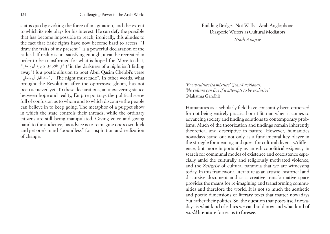<span id="page-62-0"></span>status quo by evoking the force of imagination, and the extent to which its role plays for his interest. He can defy the possible that has become impossible to reach; ironically, this alludes to the fact that basic rights have now become hard to access. "I draw the traits of my present '' is a powerful declaration of the radical. If reality is not satisfying enough, it can be recreated in order to be transformed for what is hoped for. More to that, "ينجيل أن يريد ال ليل ظالم يف") "in the darkness of a night isn't fading away") is a poetic allusion to poet Abul Qasim Chebbi's verse "ينجيل أن لليل البد"," The night must fade''. In other words, what brought the Revolution after the oppressive gloom, has not been achieved yet. To these declarations, an unwavering stance between hope and reality, Empire portrays the political scene full of confusion as to whom and to which discourse the people can believe in to keep going. The metaphor of a puppet show in which the state controls their threads, while the ordinary citizens are still being manipulated. Giving voice and giving hand to the audience, his advice is to reimagine one's own luck and get one's mind "boundless" for inspiration and realization of change.

# Building Bridges, Not Walls – Arab Anglophone Diasporic Writers as Cultural Mediators

*Nouh Anajjar* 

*'Every culture is amixture' (Jean-LucNancy) 'No culture can live if it attempts to be exclusive'*  (Mahatma Gandhi)

Humanities as a scholarly field have constantly been criticized for not being entirely practical or utilitarian when it comes to advancing society and finding solutions to contemporary problems. Much of the theorization and findings remain inherently theoretical and descriptive in nature. However, humanities nowadays stand out not only as a fundamental key player in the struggle for meaning and quest for cultural diversity/difference, but more importantly as an ethicopolitical exigency in search for communal modes of existence and coexistence especially amid the culturally and religiously motivated violence, and the *Zeitgeist* of cultural paranoia that we are witnessing today. In this framework, literature as an artistic, historical and discursive document and as a creative transformative space provides the means for re-imagining and transforming communities and therefore the world. It is not so much the aesthetic and poetic dimensions of literary texts that matter nowadays but rather their politics. So, the question that poses itself nowadays is what kind of ethics we can build now and what kind of *world* literature forces us to foresee.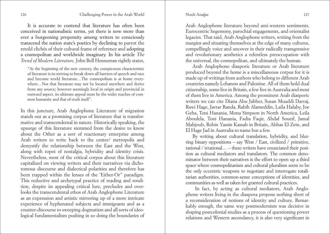Nouh Anajjar

It is accurate to contend that literature has often been conceived in nationalistic terms, yet there is now more than ever a burgeoning propensity among writers to consciously transcend the nation state's poetics by declining to parrot the retold clichés of their cultural frame of reference and adopting a cosmopolitan and worldwide imaginary. In his article *The Trend of Modern Literature,* John Bell Henneman rightly states,

"At the beginning of the new century, the conspicuous characteristic of literature is its striving to break down all barriers of speech and race and become world literature…The cosmopolitan is at home everywhere…Not that literature may not be located anywhere and derive from any source; however seemingly local in origin and provincial in outward aspect, its ultimate appeal must be the wider reaches of common humanity and that of truth itself".

In this juncture, Arab Anglophone Literature of migration stands out as a promising corpus of literature that is transformative and transcendental in nature. Historically speaking, the upsurge of this literature stemmed from the desire to know about the Other as a sort of reactionary enterprise among Arab writers to write back to the center/ metropolis and demystify the relationship between the East and the West, along with topoi of nostalgia, hybridity and identity crisis. Nevertheless, most of the critical corpus about this literature capitalized on viewing writers and their narratives via dichotomous discourse and dialectical polarities and therefore has been trapped within the lenses of the 'Either-Or" paradigm. This reductive and archetypal practice of reading and rendition, despite its appealing critical lure, precludes and overlooks the transcendental ethos of Arab Anglophone Literature as an expression and artistic mirroring up of a more intricate experience of hyphenated subjects and immigrants and as a counter-discourse to sweeping dogmatism and all sorts of ideological fundamentalism pushing in so doing the boundaries of

Arab Anglophone literature beyond anti-western sentiments, Eurocentric hegemony, parochial engagements, and orientalist legacies. That said, Arab Anglophone writers, writing from the margins and situating themselves at the edge of many cultures, compellingly voice and uncover in their radically transgressive and revolutionary aesthetics a relentless preoccupation with the universal, the cosmopolitan, and ultimately the human.

Arab Anglophone diasporic literature or Arab literature produced beyond the home is a miscellaneous corpus for it is made up of writings from authors who belong to different Arab countries namely Lebanon and Palestine. All of them hold dual citizenship, some live in Britain, a few live in Australia and most of them live in America. Among the prominent Arab diasporic writers we can cite Diana Abu Jabber, Susan Muaddi Darraj, Rawi Hage, Jarrar Randa, Rabih Alameddin, Laila Halaby, Joe Geha, Toni Hanania, Mona Simpson in North America, Leila Aboulela, Toni Hanania, Fadia Faqir, Ahdaf Soueif, Jamal Mahjoub, Robin Yassin Kassab in Britain, Abbas El-Zein, and El Hage Jad in Australia to name but a few.

By writing about cultural translation, hybridity, and blurring binary oppositions – say West / East, civilized / primitive, rational / irrational… – these writers have enunciated their position as cultural mediators and translators. The common denominator between their narratives is the effort to open up a third space where cosmopolitanism and cultural pluralism seem to be the only eccentric weapons to negotiate and interrogate totalitarian authorities, common-sense conceptions of identities, and communities as well as taken for granted cultural practices.

 In fact, by acting as cultural mediators, Arab Anglophone writers living in the diaspora propose nothing short of a reconsideration of notions of identity and culture. Remarkably enough, the same way postmodernism was decisive in shaping postcolonial studies as a process of questioning power relations and Western ascendancy, it is also very significant in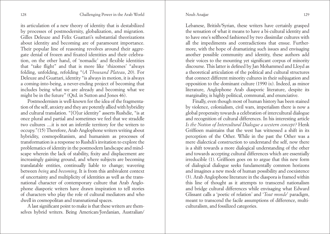#### Nouh Anajjar

its articulation of a new theory of identity that is destabilized by processes of postmodernity, globalization, and migration. Gilles Deleuze and Felix Guattari's substantial theorizations about identity and becoming are of paramount importance. Their popular line of reasoning revolves around their aggregate denial of frozen and fixated identities and their celebration, on the other hand, of 'nomadic' and flexible identities that "take flight" and that is more like 'rhizomes' "always folding, unfolding, refolding "(*A Thousand Plateau*, 20). For Deleuze and Guattari, identity "is always in motion, it is always a coming-into-being, a never-ending project of becoming that includes being what we are already and becoming what we might be in the future" (Qtd. in Sutton and Jones 46).

Postmodernism is well-known for the idea of the fragmentation of the self, anxiety and they are potently allied with hybridity and cultural translation. "[O]ur identity" asserts Rushdie, "is at once plural and partial and sometimes we feel that we straddle two cultures ....it is not an infertile territory for the writers to occupy."*(*15) Therefore, Arab Anglophone writers writing about hybridity, cosmopolitanism, and humanism as processes of transformation is a response to Rushdi's invitation to explore the problematics of identity in the postmodern landscape and mindscape wherein the lack of stability, fixity and displacement are increasingly gaining ground, and where subjects are becoming translatable entities, continually liable to change; wavering between *being* and *becoming*. It is from this ambivalent context of uncertainty and multiplicity of identities as well as the transnational character of contemporary culture that Arab Anglophone diasporic writers have drawn inspiration to tell stories of characters who play the role of cultural mediators and who dwell in cosmopolitan and transnational spaces.

A last significant point to make is that these writers are themselves hybrid writers. Being American/Jordanian, Australian/ Lebanese, British/Syrian, these writers have certainly grasped the sensation of what it means to have a bi-cultural identity and to have one's selfhood fashioned by two dissimilar cultures with all the impediments and contradictions that ensue. Furthermore, with the hope of dramatizing such issues and envisaging another possible community and identity, these authors add their voices to the mounting yet significant corpus of minority discourse. This latter is defined by Jan Mohammed and Lloyd as a theoretical articulation of the political and cultural structures that connect different minority cultures in their subjugation and opposition to the dominant culture (1990 ix). Indeed, as minor literature, Anglophone Arab diasporic literature, despite its marginality, is highly political, communal, and enunciative.

Finally, even though most of human history has been stained by violence, colonialism, civil wars, imperialism there is now a global propensity towards a celebration of intercultural dialogue and recognition of cultural differences. In his interesting article *Is the Notion of Intercultural Dialogue a western concept?* Henk Griffioen maintains that the west has witnessed a shift in its perception of the Other. While in the past the Other was a mere dialectical construction to understand the self, now there is a shift towards a more dialogical understanding of the other and towards accepting cultural differences which are essentially irreducible (1). Griffioen goes on to argue that this new form of dialogical dialogue seeks fundamentally common horizons and imagines a new mode of human possibility and coexistence (3). Arab Anglophone literature in the diaspora is framed within this line of thought as it attempts to transcend nationalism and bridge cultural differences while envisaging what Edward Glissant calls a 'poetic of relation' and '*Tout monde*' paradigm, meant to transcend the facile assumptions of difference, multiculturalism, and fossilized categories.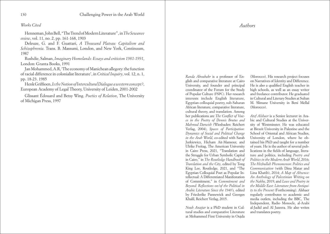#### <span id="page-65-0"></span>*Works Cited*

Henneman, John Bell, "The Trend of Modern Literature", in *The Sewanee eview*, vol. 11, no. 2, pp. 161-168, 1903

Deleuze, G. and F. Guattari, *A Thousand Plateau: Capitalism and Schizophrenia*. Trans. B. Massumi, London, and New York, Continuum, 1987

Rushdie, Salman, *Imaginary Homelands: Essays and criticism 1981-1991*, London: Granta Books, 1991

Jan Mohammed, A.R, 'The economy of Manichean allegory: the function of racial difference in colonialist literature', in *Critical Inquiry*, vol. 12, n. 1, pp. 18-23. 1985

Henk Griffioen, *Is the Notion of Intercultural Dialogue a western concept?*, European Academy of Legal Theory, University of Leiden, 2001-2002

Glissant Édouard and Betsy Wing. *Poetics of Relation*, The University of Michigan Press, 1997

#### *Authors*

*Randa Aboubakr* is a professor of English and comparative literature at Cairo University, and founder and principal coordinator of the Forum for the Study of Popular Culture (FSPC). Her research interests include English literature, Egyptian colloquial poetry, sub-Saharan African literature, comparative literature, cultural theory, and translation. Among her publications are *The Conflict of Voices in the Poetry of Dennis Brutus and Mahmud Darwish* (Wiesbaden: Reichert Verlag, 2004), *Spaces of Participation: Dynamics of Social and Political Change in the Arab World*, co-edited with Sarah Jurkiewicz, Hicham Ait-Mansour, and Ulrike Freitag, The American University in Cairo Press, 2021, "Translation and the Struggle for Urban Symbolic Capital in Cairo," in *The Routledge Handbook of Translation and the City*, edited by Tong King Lee, Routledge, 2021, and "The Egyptian Colloquial Poet as Popular Intellectual: A Differentiated Manifestation of Commitment," in *Commitment and Beyond: Reflections on/of the Political in Arabic Literature Since the 1940's,* edited by Friederike Pannewick and Georges Khalil, Reichert Verlag, 2015.

*Nouh Anajjar* is a PhD student in Cultural studies and comparative Literature at Mohammed First University in Oujda

(Morocco). His research project focuses on Narratives of Identity and Difference. He is also a qualified English teacher in high schools, as well as an essay writer and freelance contributor. He graduated in Cultural and Literary Studies at Sultan M. Slimane University in Beni Mellal (Morocco).

*Atef Alshaer* is a Senior lecturer in Arabic and Cultural Studies at the University of Westminster. He was educated at Birzeit University in Palestine and the School of Oriental and African Studies, University of London, where he obtained his PhD and taught for a number of years. He is the author of several publications in the fields of language, literature and politics, including *Poetry and Politics in the Modern Arab World*, 2016; *The Hizbullah Phenomenon: Politics and Communication* (with Dina Matar and Lina Khatib), 2014; *A Map of Absence: An Anthology of Palestinian Writing on the Nakba*, 2019; and *Love and Poetry in the Middle East: Literature from Antiquity to the Present* (Forthcoming). Alshaer regularly contributes to academic and media outlets, including the BBC, The Independent, Radio Monocle, al-Arabi al-Jadid and Al Jazeera. He also writes and translates poetry.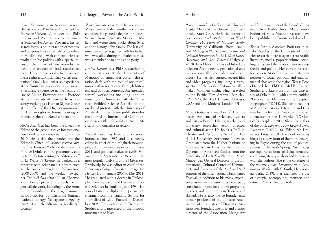*Omar Fassatoui* is an Associate researcher at SciencesPo – Aix en Provence (Aix Marseille University). Holder of a PhD in Law and Political science obtained at Sciences Po Aix en Provence, his research focus is on interaction of positive and religious laws in the field of bioethics in Muslim and Jewish contexts. He also worked on bio politics with a special focus on the impact of new reproductive techniques on women's bodies and social roles. He wrote several articles on women's rights and Muslim law versus international family law. After an experience at the Tunis Bar association as a lawyer, a lecturing experience at the faculty of law of Aix en Provence and a Postdoc at the University of Geneva, he is presently working as a Human Rights Officer at the office of the High Commissioner for Human rights in Tunisia focusing on Human Rights and Nondiscrimination.

*Abdel Aziz Hali* has been the Executive Editor of the geopolitics & international news desk at *La Presse de Tunisie* since 2010. He is also the founder and the Editor-in-Chief of *Mangeonsbien.com*, the first Tunisian Webzine dedicated to Food & Drinks culture, gastronomy and dietetics. Before joining the editorial staff of *La Presse de Tunisie*, he worked as a reporter with other media houses such as the weekly magazine *L'Expression*  (2008-2009) and the weekly newspaper *Tunis Hebdo* (2009-2010). He won a number of prizes and awards for his journalistic work, including by the Anna Lindh Foundation, the Dag Hammarskjöld Fund for Journalists, the Tunisian National Energy Management Agency (ANME) and the Alternative Media Association.

*Shady Hamadi* is a writer. He was born in Milan from an Italian mother and a Syrian father. He gained a degree in Political Science from Università Statale di Milano and wrote three books about Syria and the history of his family. The last volume was edited together with his father, who was jailed during the sixties because was a member of an opposition party.

*Amina Karoui* is a PhD researcher in cultural studies at the University of Manouba in Tunis. Her current dissertation deals with the role of rock'n'roll music within society and through historical and political contexts. She attended several workshops including one on visuality and liminality with the American Political Science Association and on digital protests with the University of Amsterdam. Her future publication for the Journal of International Communication is entitled "Visuality in North Africa: Photojournalist in Action."

*Zyed Krichen* has been a professional journalist since 1982 and is currently editor-in-chief of the Maghreb newspaper, a Tunisian newspaper born in June 2011, and political analyst of *Radio Mosaique* since September 2015 within the most popular daily show, the *Midi Show*. Previously, he was editor-in-chief of the French-speaking Tunisian magazine *Haqqaq* from January 2003 to May 2011. He graduated with a degree in Philosophy from the Faculty of Human and Social Sciences in Tunis in June 1994. He also obtained a diploma in journalistic training from the Training School for Journalists of Lille (France) in December 2005. He specialized in Civilization Studies and is interested in the political movements of Islam.

#### Authors

*Peter Limbrick* is Professor of Film and Digital Media at the University of California, Santa Cruz. He is the author of two books: *Arab Modernism as World Cinema: The Films of Moumen Smihi*  (University of California Press, 2020) and *Making Settler Cinemas: Film and Colonial Encounters in the United States, Australia, and New Zealand* (Palgrave, 2010). In addition, he has published articles on Arab cinema, postcolonial and transnational film and video, and queer theory. He has also curated several film and video programs, including a retrospective of the work of Moroccan filmmaker Moumen Smihi, which traveled to the Pacific Film Archive (Berkeley, CA, USA), the Block Cinema (Chicago, USA) and Tate Modern (London, UK).

*Moez Mrabet* is a member of The Tunisian Academy of Sciences, Letters and Arts – Beit Al Hikma, teacher and university researcher actor, director and cultural actor. He holds a PhD in Theater and Performing Arts from Paris III University, Sorbonne Nouvelle. Graduated from the Higher Institute of Dramatic Art in Tunis, he also holds a Diploma of Advanced Studies from the University of Paris X – Nanterre. Moez Mrabet was General Director of the International Cultural Center of Hammamet, and Director of the 52nd and 53rd editions of the International Hammamet Festival, in addition to his many experiences as initiator, artistic director, expert, consultant, or jury for cultural programs, projects and institutions in Tunisia and abroad. He is also the co-founder and former president of the Tunisian Association of Graduates of Dramatic Arts Institutes, founding member and artistic director of the Association Living Art

and former member of the Board of Dramatic Arts Trades Union. Many contributions of Moez Mrabet's research have been published in Tunisia and abroad.

*Teresa Pepe* is Associate Professor in Arabic Studies at the University of Oslo. Her research interests span across Arabic literature, media, popular culture, sociolinguistics, and the relation between aesthetics and politics. Her current research focuses on Arab Futurism and its connection to social, political, and environmental changes in the region. Teresa Pepe obtained her PhD in Middle Eastern Studies and Literature from the University of Oslo in 2014 with a thesis entitled "Fictionalized Identities in the Egyptian Blogosphere" (2014). She completed her M.A in Comparative Literature and Culture (with a focus on Arabic and English Literature) at the University "L'Orientale" in Naples in 2008. She is the author of the book *Blogging From Egypt: Digital Literature* (2005-2016) (Edinburgh University Press, 2019). The book explores blogs as a new form of literature emerging in Egypt during the rise of political protest of the Arab Spring. Such blogs are explored as forms of digital literature, combining literary analysis and interviews with the authors. She is the co-editor of the volume *Arabic Literature in a Posthuman World* (with S. Guth, Harassowitz Verlag 2019), that examines the use of dystopia, necropolitics, monsters and satire in Arabic literature today.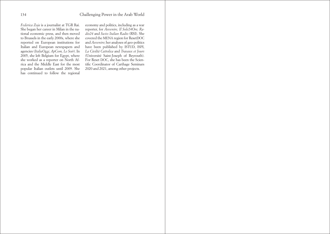<span id="page-67-0"></span>*Federica Zoja* is a journalist at TGR Rai. She began her career in Milan in the national economic press, and then moved to Brussels in the early 2000s, where she reported on European institutions for Italian and European newspapers and agencies (*ItaliaOggi, ApCom, Le Soir*). In 2005, she left Belgium for Egypt, where she worked as a reporter on North Africa and the Middle East for the most popular Italian outlets until 2009. She has continued to follow the regional

economy and politics, including as a war reporter, for *Avvenire, Il Sole24Ore, Radio24* and *Swiss Italian Radio* (RSI). She covered the MENA region for ResetDOC and *Avvenire*; her analyses of geo-politics have been published by ISTUD, ISPI, *La Civiltà Cattolica* and *Travaux et Jours*  (Université Saint-Joseph of Beyrouth). For Reset DOC, she has been the Scientific Coordinator of Carthage Seminars 2020 and 2021, among other projects.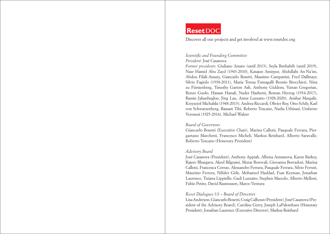# **ResetDOC**

Discover all our projects and get involved at www.resetdoc.org

#### *Scientific and Founding Committee President:* José Casanova

*Former presidents*: Giuliano Amato (until 2013), Seyla Benhabib (until 2019), Nasr Hamid Abu Zayd (1943-2010), Katajun Amirpur, Abdullahi An-Na'im, Abdou Filali-Ansary, Giancarlo Bosetti, Massimo Campanini, Fred Dallmayr, Silvio Fagiolo (1938-2011), Maria Teresa Fumagalli Beonio Brocchieri, Nina zu Fürstenberg, Timothy Garton Ash, Anthony Giddens, Vartan Gregorian, Renzo Guolo, Hassan Hanafi, Nader Hashemi, Roman Herzog (1934-2017), Ramin Jahanbegloo, Jörg Lau, Amos Luzzatto (1928-2020), Avishai Margalit, Krzysztof Michalski (1948-2013), Andrea Riccardi, Olivier Roy, Otto Schily, Karl von Schwarzenberg, Bassam Tibi, Roberto Toscano, Nadia Urbinati, Umberto Veronesi (1925-2016), Michael Walzer

#### *Board of Governors*

Giancarlo Bosetti (Executive Chair), Marina Calloni, Pasquale Ferrara, Piergaetano Marchetti, Francesco Micheli, Markus Reinhard, Alberto Saravalle, Roberto Toscano (Honorary President)

#### *Advisory Board*

José Casanova (President), Anthony Appiah, Albena Azmanova, Karen Barkey, Rajeev Bhargava, Akeel Bilgrami, Murat Borovali, Giovanna Borradori, Marina Calloni, Francesca Corrao, Alessandro Ferrara, Pasquale Ferrara, Silvio Ferrari, Maurizio Ferrera, Nilüfer Göle, Mohamed Haddad, Fuat Keyman, Jonathan Laurence, Tiziana Lippiello, Gadi Luzzatto, Stephen Macedo, Alberto Melloni, Fabio Petito, David Rasmussen, Marco Ventura

#### *Reset Dialogues US – Board of Directors*

Lisa Anderson, Giancarlo Bosetti, Craig Calhoun (President), José Casanova (President of the Advisory Board), Caroline Gerry, Joseph LaPalombara (Honorary President), Jonathan Laurence (Executive Director), Markus Reinhard